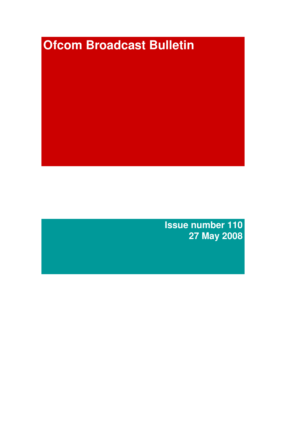# **Ofcom Broadcast Bulletin**

**Issue number 110 27 May 2008**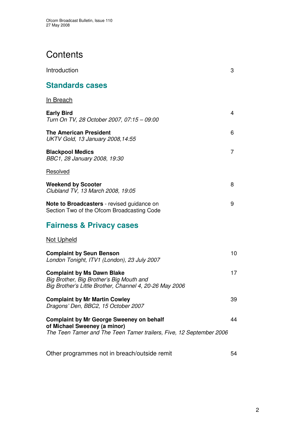# **Contents**

| Introduction                                                                                                                                           | 3  |
|--------------------------------------------------------------------------------------------------------------------------------------------------------|----|
| <b>Standards cases</b>                                                                                                                                 |    |
| <b>In Breach</b>                                                                                                                                       |    |
| <b>Early Bird</b><br>Turn On TV, 28 October 2007, 07:15 - 09:00                                                                                        | 4  |
| <b>The American President</b><br>UKTV Gold, 13 January 2008, 14:55                                                                                     | 6  |
| <b>Blackpool Medics</b><br>BBC1, 28 January 2008, 19:30                                                                                                | 7  |
| Resolved                                                                                                                                               |    |
| <b>Weekend by Scooter</b><br>Clubland TV, 13 March 2008, 19:05                                                                                         | 8  |
| Note to Broadcasters - revised guidance on<br>Section Two of the Ofcom Broadcasting Code                                                               | 9  |
| <b>Fairness &amp; Privacy cases</b>                                                                                                                    |    |
| <b>Not Upheld</b>                                                                                                                                      |    |
| <b>Complaint by Seun Benson</b><br>London Tonight, ITV1 (London), 23 July 2007                                                                         | 10 |
| <b>Complaint by Ms Dawn Blake</b><br>Big Brother, Big Brother's Big Mouth and<br>Big Brother's Little Brother, Channel 4, 20-26 May 2006               | 17 |
| <b>Complaint by Mr Martin Cowley</b><br>Dragons' Den, BBC2, 15 October 2007                                                                            | 39 |
| <b>Complaint by Mr George Sweeney on behalf</b><br>of Michael Sweeney (a minor)<br>The Teen Tamer and The Teen Tamer trailers, Five, 12 September 2006 | 44 |
| Other programmes not in breach/outside remit                                                                                                           | 54 |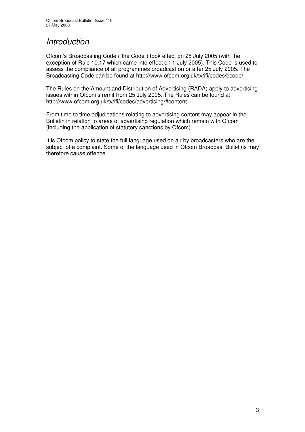# *Introduction*

Ofcom's Broadcasting Code ("the Code") took effect on 25 July 2005 (with the exception of Rule 10.17 which came into effect on 1 July 2005). This Code is used to assess the compliance of all programmes broadcast on or after 25 July 2005. The Broadcasting Code can be found at http://www.ofcom.org.uk/tv/ifi/codes/bcode/

The Rules on the Amount and Distribution of Advertising (RADA) apply to advertising issues within Ofcom's remit from 25 July 2005. The Rules can be found at http://www.ofcom.org.uk/tv/ifi/codes/advertising/#content

From time to time adjudications relating to advertising content may appear in the Bulletin in relation to areas of advertising regulation which remain with Ofcom (including the application of statutory sanctions by Ofcom).

It is Ofcom policy to state the full language used on air by broadcasters who are the subject of a complaint. Some of the language used in Ofcom Broadcast Bulletins may therefore cause offence.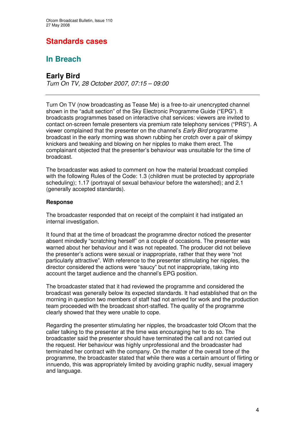# **Standards cases**

# **In Breach**

## **Early Bird**

*Turn On TV, 28 October 2007, 07:15 – 09:00*

Turn On TV (now broadcasting as Tease Me) is a free-to-air unencrypted channel shown in the "adult section" of the Sky Electronic Programme Guide ("EPG"). It broadcasts programmes based on interactive chat services: viewers are invited to contact on-screen female presenters via premium rate telephony services ("PRS"). A viewer complained that the presenter on the channel's *Early Bird* programme broadcast in the early morning was shown rubbing her crotch over a pair of skimpy knickers and tweaking and blowing on her nipples to make them erect. The complainant objected that the presenter's behaviour was unsuitable for the time of broadcast.

The broadcaster was asked to comment on how the material broadcast complied with the following Rules of the Code: 1.3 (children must be protected by appropriate scheduling); 1.17 (portrayal of sexual behaviour before the watershed); and 2.1 (generally accepted standards).

#### **Response**

The broadcaster responded that on receipt of the complaint it had instigated an internal investigation.

It found that at the time of broadcast the programme director noticed the presenter absent mindedly "scratching herself" on a couple of occasions. The presenter was warned about her behaviour and it was not repeated. The producer did not believe the presenter's actions were sexual or inappropriate, rather that they were "not particularly attractive". With reference to the presenter stimulating her nipples, the director considered the actions were "saucy" but not inappropriate, taking into account the target audience and the channel's EPG position.

The broadcaster stated that it had reviewed the programme and considered the broadcast was generally below its expected standards. It had established that on the morning in question two members of staff had not arrived for work and the production team proceeded with the broadcast short-staffed. The quality of the programme clearly showed that they were unable to cope.

Regarding the presenter stimulating her nipples, the broadcaster told Ofcom that the caller talking to the presenter at the time was encouraging her to do so. The broadcaster said the presenter should have terminated the call and not carried out the request. Her behaviour was highly unprofessional and the broadcaster had terminated her contract with the company. On the matter of the overall tone of the programme, the broadcaster stated that while there was a certain amount of flirting or innuendo, this was appropriately limited by avoiding graphic nudity, sexual imagery and language.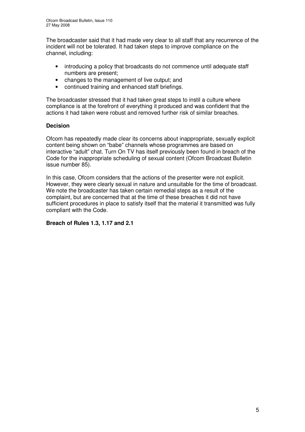The broadcaster said that it had made very clear to all staff that any recurrence of the incident will not be tolerated. It had taken steps to improve compliance on the channel, including:

- introducing a policy that broadcasts do not commence until adequate staff numbers are present;
- changes to the management of live output; and
- continued training and enhanced staff briefings.

The broadcaster stressed that it had taken great steps to instil a culture where compliance is at the forefront of everything it produced and was confident that the actions it had taken were robust and removed further risk of similar breaches.

#### **Decision**

Ofcom has repeatedly made clear its concerns about inappropriate, sexually explicit content being shown on "babe" channels whose programmes are based on interactive "adult" chat. Turn On TV has itself previously been found in breach of the Code for the inappropriate scheduling of sexual content (Ofcom Broadcast Bulletin issue number 85).

In this case, Ofcom considers that the actions of the presenter were not explicit. However, they were clearly sexual in nature and unsuitable for the time of broadcast. We note the broadcaster has taken certain remedial steps as a result of the complaint, but are concerned that at the time of these breaches it did not have sufficient procedures in place to satisfy itself that the material it transmitted was fully compliant with the Code.

#### **Breach of Rules 1.3, 1.17 and 2.1**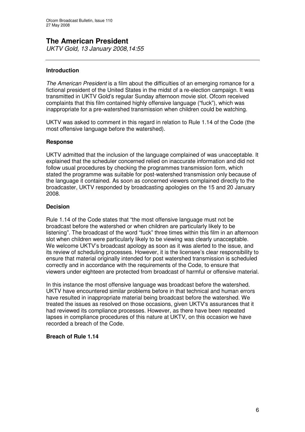# **The American President**

*UKTV Gold, 13 January 2008,14:55*

#### **Introduction**

*The American President* is a film about the difficulties of an emerging romance for a fictional president of the United States in the midst of a re-election campaign. It was transmitted in UKTV Gold's regular Sunday afternoon movie slot. Ofcom received complaints that this film contained highly offensive language ("fuck"), which was inappropriate for a pre-watershed transmission when children could be watching.

UKTV was asked to comment in this regard in relation to Rule 1.14 of the Code (the most offensive language before the watershed).

#### **Response**

UKTV admitted that the inclusion of the language complained of was unacceptable. It explained that the scheduler concerned relied on inaccurate information and did not follow usual procedures by checking the programmes transmission form, which stated the programme was suitable for post-watershed transmission only because of the language it contained. As soon as concerned viewers complained directly to the broadcaster, UKTV responded by broadcasting apologies on the 15 and 20 January 2008.

#### **Decision**

Rule 1.14 of the Code states that "the most offensive language must not be broadcast before the watershed or when children are particularly likely to be listening". The broadcast of the word "fuck" three times within this film in an afternoon slot when children were particularly likely to be viewing was clearly unacceptable. We welcome UKTV's broadcast apology as soon as it was alerted to the issue, and its review of scheduling processes. However, it is the licensee's clear responsibility to ensure that material originally intended for post watershed transmission is scheduled correctly and in accordance with the requirements of the Code, to ensure that viewers under eighteen are protected from broadcast of harmful or offensive material.

In this instance the most offensive language was broadcast before the watershed. UKTV have encountered similar problems before in that technical and human errors have resulted in inappropriate material being broadcast before the watershed. We treated the issues as resolved on those occasions, given UKTV's assurances that it had reviewed its compliance processes. However, as there have been repeated lapses in compliance procedures of this nature at UKTV, on this occasion we have recorded a breach of the Code.

#### **Breach of Rule 1.14**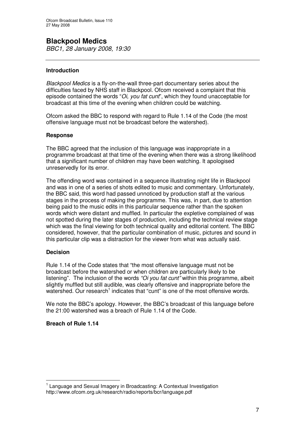# **Blackpool Medics**

*BBC1, 28 January 2008, 19:30*

#### **Introduction**

*Blackpool Medics* is a fly-on-the-wall three-part documentary series about the difficulties faced by NHS staff in Blackpool. Ofcom received a complaint that this episode contained the words "*Oi, you fat cunt*", which they found unacceptable for broadcast at this time of the evening when children could be watching.

Ofcom asked the BBC to respond with regard to Rule 1.14 of the Code (the most offensive language must not be broadcast before the watershed).

#### **Response**

The BBC agreed that the inclusion of this language was inappropriate in a programme broadcast at that time of the evening when there was a strong likelihood that a significant number of children may have been watching. It apologised unreservedly for its error.

The offending word was contained in a sequence illustrating night life in Blackpool and was in one of a series of shots edited to music and commentary. Unfortunately, the BBC said, this word had passed unnoticed by production staff at the various stages in the process of making the programme. This was, in part, due to attention being paid to the music edits in this particular sequence rather than the spoken words which were distant and muffled. In particular the expletive complained of was not spotted during the later stages of production, including the technical review stage which was the final viewing for both technical quality and editorial content. The BBC considered, however, that the particular combination of music, pictures and sound in this particular clip was a distraction for the viewer from what was actually said.

#### **Decision**

Rule 1.14 of the Code states that "the most offensive language must not be broadcast before the watershed or when children are particularly likely to be listening". The inclusion of the words *"Oi you fat cunt"* within this programme, albeit slightly muffled but still audible, was clearly offensive and inappropriate before the watershed. Our research<sup>1</sup> indicates that "cunt" is one of the most offensive words.

We note the BBC's apology. However, the BBC's broadcast of this language before the 21:00 watershed was a breach of Rule 1.14 of the Code.

#### **Breach of Rule 1.14**

<sup>&</sup>lt;sup>1</sup> Language and Sexual Imagery in Broadcasting: A Contextual Investigation http://www.ofcom.org.uk/research/radio/reports/bcr/language.pdf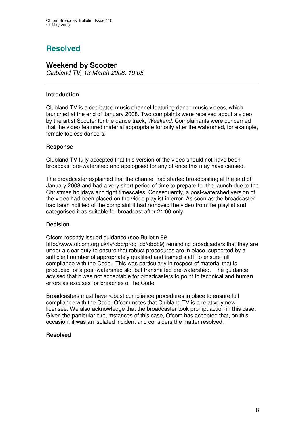# **Resolved**

#### **Weekend by Scooter**

*Clubland TV, 13 March 2008, 19:05*

#### **Introduction**

Clubland TV is a dedicated music channel featuring dance music videos, which launched at the end of January 2008. Two complaints were received about a video by the artist Scooter for the dance track, *Weekend.* Complainants were concerned that the video featured material appropriate for only after the watershed, for example, female topless dancers.

#### **Response**

Clubland TV fully accepted that this version of the video should not have been broadcast pre-watershed and apologised for any offence this may have caused.

The broadcaster explained that the channel had started broadcasting at the end of January 2008 and had a very short period of time to prepare for the launch due to the Christmas holidays and tight timescales. Consequently, a post-watershed version of the video had been placed on the video playlist in error. As soon as the broadcaster had been notified of the complaint it had removed the video from the playlist and categorised it as suitable for broadcast after 21:00 only.

#### **Decision**

Ofcom recently issued guidance (see Bulletin 89

http://www.ofcom.org.uk/tv/obb/prog\_cb/obb89) reminding broadcasters that they are under a clear duty to ensure that robust procedures are in place, supported by a sufficient number of appropriately qualified and trained staff, to ensure full compliance with the Code. This was particularly in respect of material that is produced for a post-watershed slot but transmitted pre-watershed. The guidance advised that it was not acceptable for broadcasters to point to technical and human errors as excuses for breaches of the Code.

Broadcasters must have robust compliance procedures in place to ensure full compliance with the Code. Ofcom notes that Clubland TV is a relatively new licensee. We also acknowledge that the broadcaster took prompt action in this case. Given the particular circumstances of this case, Ofcom has accepted that, on this occasion, it was an isolated incident and considers the matter resolved.

#### **Resolved**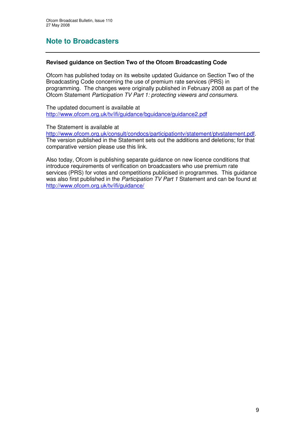# **Note to Broadcasters**

#### **Revised guidance on Section Two of the Ofcom Broadcasting Code**

Ofcom has published today on its website updated Guidance on Section Two of the Broadcasting Code concerning the use of premium rate services (PRS) in programming. The changes were originally published in February 2008 as part of the Ofcom Statement *Participation TV Part 1: protecting viewers and consumers*.

The updated document is available at http://www.ofcom.org.uk/tv/ifi/guidance/bguidance/guidance2.pdf

The Statement is available at

http://www.ofcom.org.uk/consult/condocs/participationtv/statement/ptvstatement.pdf. The version published in the Statement sets out the additions and deletions; for that comparative version please use this link.

Also today, Ofcom is publishing separate guidance on new licence conditions that introduce requirements of verification on broadcasters who use premium rate services (PRS) for votes and competitions publicised in programmes. This guidance was also first published in the *Participation TV Part 1* Statement and can be found at http://www.ofcom.org.uk/tv/ifi/guidance/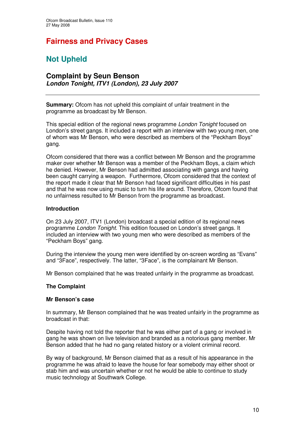# **Fairness and Privacy Cases**

# **Not Upheld**

#### **Complaint by Seun Benson** *London Tonight, ITV1 (London), 23 July 2007*

**Summary:** Ofcom has not upheld this complaint of unfair treatment in the programme as broadcast by Mr Benson.

This special edition of the regional news programme *London Tonight* focused on London's street gangs. It included a report with an interview with two young men, one of whom was Mr Benson, who were described as members of the "Peckham Boys" gang.

Ofcom considered that there was a conflict between Mr Benson and the programme maker over whether Mr Benson was a member of the Peckham Boys, a claim which he denied. However, Mr Benson had admitted associating with gangs and having been caught carrying a weapon. Furthermore, Ofcom considered that the context of the report made it clear that Mr Benson had faced significant difficulties in his past and that he was now using music to turn his life around. Therefore, Ofcom found that no unfairness resulted to Mr Benson from the programme as broadcast.

#### **Introduction**

On 23 July 2007, ITV1 (London) broadcast a special edition of its regional news programme *London Tonight*. This edition focused on London's street gangs. It included an interview with two young men who were described as members of the "Peckham Boys" gang.

During the interview the young men were identified by on-screen wording as "Evans" and "3Face", respectively. The latter, "3Face", is the complainant Mr Benson.

Mr Benson complained that he was treated unfairly in the programme as broadcast.

#### **The Complaint**

#### **Mr Benson's case**

In summary, Mr Benson complained that he was treated unfairly in the programme as broadcast in that:

Despite having not told the reporter that he was either part of a gang or involved in gang he was shown on live television and branded as a notorious gang member. Mr Benson added that he had no gang related history or a violent criminal record.

By way of background, Mr Benson claimed that as a result of his appearance in the programme he was afraid to leave the house for fear somebody may either shoot or stab him and was uncertain whether or not he would be able to continue to study music technology at Southwark College.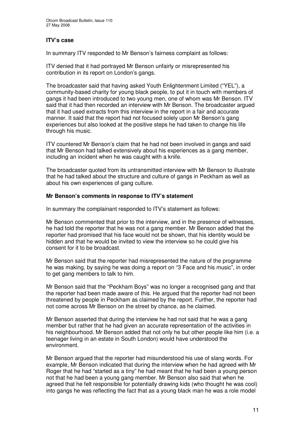#### **ITV's case**

In summary ITV responded to Mr Benson's fairness complaint as follows:

ITV denied that it had portrayed Mr Benson unfairly or misrepresented his contribution in its report on London's gangs.

The broadcaster said that having asked Youth Enlightenment Limited ("YEL"), a community-based charity for young black people, to put it in touch with members of gangs it had been introduced to two young men, one of whom was Mr Benson. ITV said that it had then recorded an interview with Mr Benson. The broadcaster argued that it had used extracts from this interview in the report in a fair and accurate manner. It said that the report had not focused solely upon Mr Benson's gang experiences but also looked at the positive steps he had taken to change his life through his music.

ITV countered Mr Benson's claim that he had not been involved in gangs and said that Mr Benson had talked extensively about his experiences as a gang member, including an incident when he was caught with a knife.

The broadcaster quoted from its untransmitted interview with Mr Benson to illustrate that he had talked about the structure and culture of gangs in Peckham as well as about his own experiences of gang culture.

#### **Mr Benson's comments in response to ITV's statement**

In summary the complainant responded to ITV's statement as follows:

Mr Benson commented that prior to the interview, and in the presence of witnesses, he had told the reporter that he was not a gang member. Mr Benson added that the reporter had promised that his face would not be shown, that his identity would be hidden and that he would be invited to view the interview so he could give his consent for it to be broadcast.

Mr Benson said that the reporter had misrepresented the nature of the programme he was making, by saying he was doing a report on "3 Face and his music", in order to get gang members to talk to him.

Mr Benson said that the "Peckham Boys" was no longer a recognised gang and that the reporter had been made aware of this. He argued that the reporter had not been threatened by people in Peckham as claimed by the report. Further, the reporter had not come across Mr Benson on the street by chance, as he claimed.

Mr Benson asserted that during the interview he had not said that he was a gang member but rather that he had given an accurate representation of the activities in his neighbourhood. Mr Benson added that not only he but other people like him (i.e. a teenager living in an estate in South London) would have understood the environment.

Mr Benson argued that the reporter had misunderstood his use of slang words. For example, Mr Benson indicated that during the interview when he had agreed with Mr Roger that he had "started as a tiny" he had meant that he had been a young person not that he had been a young gang member. Mr Benson also said that when he agreed that he felt responsible for potentially drawing kids (who thought he was cool) into gangs he was reflecting the fact that as a young black man he was a role model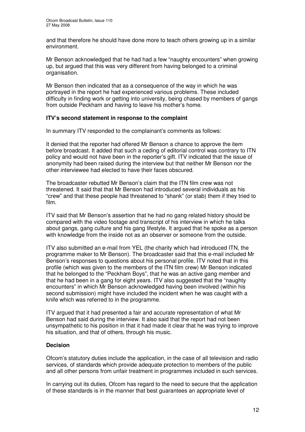and that therefore he should have done more to teach others growing up in a similar environment.

Mr Benson acknowledged that he had had a few "naughty encounters" when growing up, but argued that this was very different from having belonged to a criminal organisation.

Mr Benson then indicated that as a consequence of the way in which he was portrayed in the report he had experienced various problems. These included difficulty in finding work or getting into university, being chased by members of gangs from outside Peckham and having to leave his mother's home.

#### **ITV's second statement in response to the complaint**

In summary ITV responded to the complainant's comments as follows:

It denied that the reporter had offered Mr Benson a chance to approve the item before broadcast. It added that such a ceding of editorial control was contrary to ITN policy and would not have been in the reporter's gift. ITV indicated that the issue of anonymity had been raised during the interview but that neither Mr Benson nor the other interviewee had elected to have their faces obscured.

The broadcaster rebutted Mr Benson's claim that the ITN film crew was not threatened. It said that that Mr Benson had introduced several individuals as his "crew" and that these people had threatened to "shank" (or stab) them if they tried to film.

ITV said that Mr Benson's assertion that he had no gang related history should be compared with the video footage and transcript of his interview in which he talks about gangs, gang culture and his gang lifestyle. It argued that he spoke as a person with knowledge from the inside not as an observer or someone from the outside.

ITV also submitted an e-mail from YEL (the charity which had introduced ITN, the programme maker to Mr Benson). The broadcaster said that this e-mail included Mr Benson's responses to questions about his personal profile. ITV noted that in this profile (which was given to the members of the ITN film crew) Mr Benson indicated that he belonged to the "Peckham Boys", that he was an active gang member and that he had been in a gang for eight years. ITV also suggested that the "naughty encounters" in which Mr Benson acknowledged having been involved (within his second submission) might have included the incident when he was caught with a knife which was referred to in the programme.

ITV argued that it had presented a fair and accurate representation of what Mr Benson had said during the interview. It also said that the report had not been unsympathetic to his position in that it had made it clear that he was trying to improve his situation, and that of others, through his music.

#### **Decision**

Ofcom's statutory duties include the application, in the case of all television and radio services, of standards which provide adequate protection to members of the public and all other persons from unfair treatment in programmes included in such services.

In carrying out its duties, Ofcom has regard to the need to secure that the application of these standards is in the manner that best guarantees an appropriate level of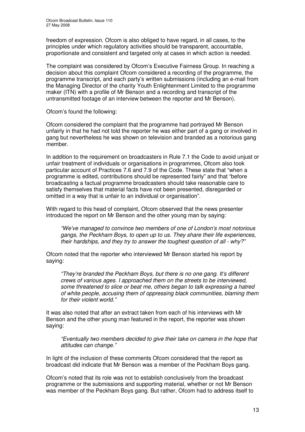freedom of expression. Ofcom is also obliged to have regard, in all cases, to the principles under which regulatory activities should be transparent, accountable, proportionate and consistent and targeted only at cases in which action is needed.

The complaint was considered by Ofcom's Executive Fairness Group. In reaching a decision about this complaint Ofcom considered a recording of the programme, the programme transcript, and each party's written submissions (including an e-mail from the Managing Director of the charity Youth Enlightenment Limited to the programme maker (ITN) with a profile of Mr Benson and a recording and transcript of the untransmitted footage of an interview between the reporter and Mr Benson).

Ofcom's found the following:

Ofcom considered the complaint that the programme had portrayed Mr Benson unfairly in that he had not told the reporter he was either part of a gang or involved in gang but nevertheless he was shown on television and branded as a notorious gang member.

In addition to the requirement on broadcasters in Rule 7.1 the Code to avoid unjust or unfair treatment of individuals or organisations in programmes, Ofcom also took particular account of Practices 7.6 and 7.9 of the Code. These state that "when a programme is edited, contributions should be represented fairly" and that "before broadcasting a factual programme broadcasters should take reasonable care to satisfy themselves that material facts have not been presented, disregarded or omitted in a way that is unfair to an individual or organisation".

With regard to this head of complaint, Ofcom observed that the news presenter introduced the report on Mr Benson and the other young man by saying:

*"We've managed to convince two members of one of London's most notorious gangs, the Peckham Boys, to open up to us. They share their life experiences, their hardships, and they try to answer the toughest question of all - why?"*

Ofcom noted that the reporter who interviewed Mr Benson started his report by saying:

*"They're branded the Peckham Boys, but there is no one gang. It's different crews of various ages. I approached them on the streets to be interviewed, some threatened to slice or beat me, others began to talk expressing a hatred of white people, accusing them of oppressing black communities, blaming them for their violent world."*

It was also noted that after an extract taken from each of his interviews with Mr Benson and the other young man featured in the report, the reporter was shown saying:

*"Eventually two members decided to give their take on camera in the hope that attitudes can change."*

In light of the inclusion of these comments Ofcom considered that the report as broadcast did indicate that Mr Benson was a member of the Peckham Boys gang.

Ofcom's noted that its role was not to establish conclusively from the broadcast programme or the submissions and supporting material, whether or not Mr Benson was member of the Peckham Boys gang. But rather, Ofcom had to address itself to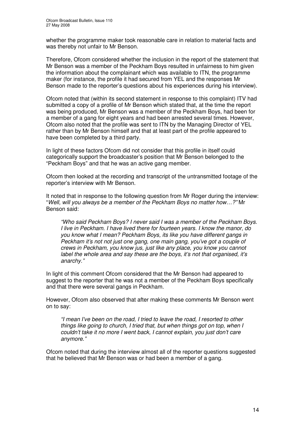whether the programme maker took reasonable care in relation to material facts and was thereby not unfair to Mr Benson.

Therefore, Ofcom considered whether the inclusion in the report of the statement that Mr Benson was a member of the Peckham Boys resulted in unfairness to him given the information about the complainant which was available to ITN, the programme maker (for instance, the profile it had secured from YEL and the responses Mr Benson made to the reporter's questions about his experiences during his interview).

Ofcom noted that (within its second statement in response to this complaint) ITV had submitted a copy of a profile of Mr Benson which stated that, at the time the report was being produced, Mr Benson was a member of the Peckham Boys, had been for a member of a gang for eight years and had been arrested several times. However, Ofcom also noted that the profile was sent to ITN by the Managing Director of YEL rather than by Mr Benson himself and that at least part of the profile appeared to have been completed by a third party.

In light of these factors Ofcom did not consider that this profile in itself could categorically support the broadcaster's position that Mr Benson belonged to the "Peckham Boys" and that he was an active gang member.

Ofcom then looked at the recording and transcript of the untransmitted footage of the reporter's interview with Mr Benson.

It noted that in response to the following question from Mr Roger during the interview: "*Well, will you always be a member of the Peckham Boys no matter how…?"* Mr Benson said:

*"Who said Peckham Boys? I never said I was a member of the Peckham Boys. I live in Peckham. I have lived there for fourteen years. I know the manor, do you know what I mean? Peckham Boys, its like you have different gangs in Peckham it's not not just one gang, one main gang, you've got a couple of crews in Peckham, you know jus, just like any place, you know you cannot label the whole area and say these are the boys, it's not that organised, it's anarchy."*

In light of this comment Ofcom considered that the Mr Benson had appeared to suggest to the reporter that he was not a member of the Peckham Boys specifically and that there were several gangs in Peckham.

However, Ofcom also observed that after making these comments Mr Benson went on to say:

*"I mean I've been on the road, I tried to leave the road, I resorted to other things like going to church, I tried that, but when things got on top, when I couldn't take it no more I went back, I cannot explain, you just don't care anymore."*

Ofcom noted that during the interview almost all of the reporter questions suggested that he believed that Mr Benson was or had been a member of a gang.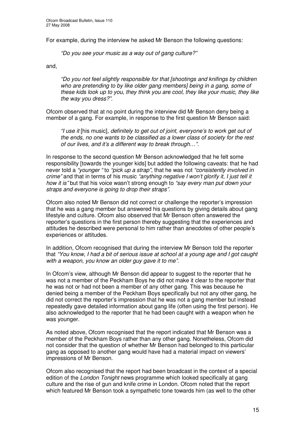For example, during the interview he asked Mr Benson the following questions:

*"Do you see your music as a way out of gang culture?"*

and,

*"Do you not feel slightly responsible for that [shootings and knifings by children who are pretending to by like older gang members] being in a gang, some of these kids look up to you, they think you are cool, they like your music, they like the way you dress?".*

Ofcom observed that at no point during the interview did Mr Benson deny being a member of a gang. For example, in response to the first question Mr Benson said:

*"I use it* [his music]*, definitely to get out of joint, everyone's to work get out of the ends, no one wants to be classified as a lower class of society for the rest of our lives, and it's a different way to break through…".*

In response to the second question Mr Benson acknowledged that he felt some responsibility [towards the younger kids] but added the following caveats: that he had never told a *"younger "* to *"pick up a strap"*, that he was not *"consistently involved in crime"* and that in terms of his music *"anything negative I won't glorify it, I just tell it how it is"* but that his voice wasn't strong enough to *"say every man put down your straps and everyone is going to drop their straps"*.

Ofcom also noted Mr Benson did not correct or challenge the reporter's impression that he was a gang member but answered his questions by giving details about gang lifestyle and culture. Ofcom also observed that Mr Benson often answered the reporter's questions in the first person thereby suggesting that the experiences and attitudes he described were personal to him rather than anecdotes of other people's experiences or attitudes.

In addition, Ofcom recognised that during the interview Mr Benson told the reporter that *"You know, I had a bit of serious issue at school at a young age and I got caught with a weapon, you know an older guy gave it to me".*

In Ofcom's view, although Mr Benson did appear to suggest to the reporter that he was not a member of the Peckham Boys he did not make it clear to the reporter that he was not or had not been a member of any other gang. This was because he denied being a member of the Peckham Boys specifically but not any other gang, he did not correct the reporter's impression that he was not a gang member but instead repeatedly gave detailed information about gang life (often using the first person). He also acknowledged to the reporter that he had been caught with a weapon when he was younger.

As noted above, Ofcom recognised that the report indicated that Mr Benson was a member of the Peckham Boys rather than any other gang. Nonetheless, Ofcom did not consider that the question of whether Mr Benson had belonged to this particular gang as opposed to another gang would have had a material impact on viewers' impressions of Mr Benson.

Ofcom also recognised that the report had been broadcast in the context of a special edition of the *London Tonight* news programme which looked specifically at gang culture and the rise of gun and knife crime in London. Ofcom noted that the report which featured Mr Benson took a sympathetic tone towards him (as well to the other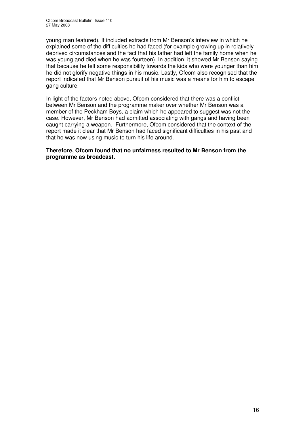young man featured). It included extracts from Mr Benson's interview in which he explained some of the difficulties he had faced (for example growing up in relatively deprived circumstances and the fact that his father had left the family home when he was young and died when he was fourteen). In addition, it showed Mr Benson saying that because he felt some responsibility towards the kids who were younger than him he did not glorify negative things in his music. Lastly, Ofcom also recognised that the report indicated that Mr Benson pursuit of his music was a means for him to escape gang culture.

In light of the factors noted above, Ofcom considered that there was a conflict between Mr Benson and the programme maker over whether Mr Benson was a member of the Peckham Boys, a claim which he appeared to suggest was not the case. However, Mr Benson had admitted associating with gangs and having been caught carrying a weapon. Furthermore, Ofcom considered that the context of the report made it clear that Mr Benson had faced significant difficulties in his past and that he was now using music to turn his life around.

#### **Therefore, Ofcom found that no unfairness resulted to Mr Benson from the programme as broadcast.**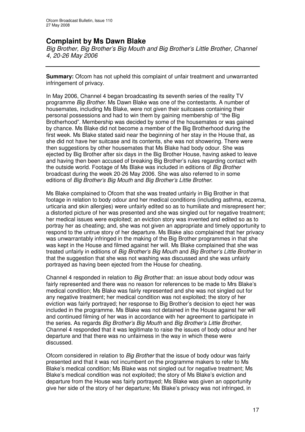## **Complaint by Ms Dawn Blake**

*Big Brother, Big Brother's Big Mouth and Big Brother's Little Brother, Channel 4, 20-26 May 2006*

**Summary:** Ofcom has not upheld this complaint of unfair treatment and unwarranted infringement of privacy.

In May 2006, Channel 4 began broadcasting its seventh series of the reality TV programme *Big Brother*. Ms Dawn Blake was one of the contestants. A number of housemates, including Ms Blake, were not given their suitcases containing their personal possessions and had to win them by gaining membership of "the Big Brotherhood". Membership was decided by some of the housemates or was gained by chance. Ms Blake did not become a member of the Big Brotherhood during the first week. Ms Blake stated said near the beginning of her stay in the House that, as she did not have her suitcase and its contents, she was not showering. There were then suggestions by other housemates that Ms Blake had body odour. She was ejected by Big Brother after six days in the Big Brother House, having asked to leave and having then been accused of breaking Big Brother's rules regarding contact with the outside world. Footage of Ms Blake was included in editions of *Big Brother* broadcast during the week 20-26 May 2006. She was also referred to in some editions of *Big Brother's Big Mouth* and *Big Brother's Little Brother*.

Ms Blake complained to Ofcom that she was treated unfairly in Big Brother in that footage in relation to body odour and her medical conditions (including asthma, eczema, urticaria and skin allergies) were unfairly edited so as to humiliate and misrepresent her; a distorted picture of her was presented and she was singled out for negative treatment; her medical issues were exploited; an eviction story was invented and edited so as to portray her as cheating; and, she was not given an appropriate and timely opportunity to respond to the untrue story of her departure. Ms Blake also complained that her privacy was unwarrantably infringed in the making of the Big Brother programmes in that she was kept in the House and filmed against her will. Ms Blake complained that she was treated unfairly in editions of *Big Brother's Big Mouth* and *Big Brother's Little Brother* in that the suggestion that she was not washing was discussed and she was unfairly portrayed as having been ejected from the House for cheating.

Channel 4 responded in relation to *Big Brother* that: an issue about body odour was fairly represented and there was no reason for references to be made to Mrs Blake's medical condition; Ms Blake was fairly represented and she was not singled out for any negative treatment; her medical condition was not exploited; the story of her eviction was fairly portrayed; her response to Big Brother's decision to eject her was included in the programme. Ms Blake was not detained in the House against her will and continued filming of her was in accordance with her agreement to participate in the series. As regards *Big Brother's Big Mouth* and *Big Brother's Little Brother*, Channel 4 responded that it was legitimate to raise the issues of body odour and her departure and that there was no unfairness in the way in which these were discussed.

Ofcom considered in relation to *Big Brother* that the issue of body odour was fairly presented and that it was not incumbent on the programme makers to refer to Ms Blake's medical condition; Ms Blake was not singled out for negative treatment; Ms Blake's medical condition was not exploited; the story of Ms Blake's eviction and departure from the House was fairly portrayed; Ms Blake was given an opportunity give her side of the story of her departure; Ms Blake's privacy was not infringed, in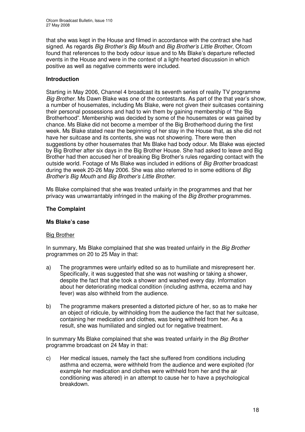that she was kept in the House and filmed in accordance with the contract she had signed. As regards *Big Brother's Big Mouth* and *Big Brother's Little Brother*, Ofcom found that references to the body odour issue and to Ms Blake's departure reflected events in the House and were in the context of a light-hearted discussion in which positive as well as negative comments were included.

#### **Introduction**

Starting in May 2006, Channel 4 broadcast its seventh series of reality TV programme *Big Brother.* Ms Dawn Blake was one of the contestants. As part of the that year's show, a number of housemates, including Ms Blake, were not given their suitcases containing their personal possessions and had to win them by gaining membership of "the Big Brotherhood". Membership was decided by some of the housemates or was gained by chance. Ms Blake did not become a member of the Big Brotherhood during the first week. Ms Blake stated near the beginning of her stay in the House that, as she did not have her suitcase and its contents, she was not showering. There were then suggestions by other housemates that Ms Blake had body odour. Ms Blake was ejected by Big Brother after six days in the Big Brother House. She had asked to leave and Big Brother had then accused her of breaking Big Brother's rules regarding contact with the outside world. Footage of Ms Blake was included in editions of *Big Brother* broadcast during the week 20-26 May 2006. She was also referred to in some editions of *Big Brother's Big Mouth* and *Big Brother's Little Brother*.

Ms Blake complained that she was treated unfairly in the programmes and that her privacy was unwarrantably infringed in the making of the *Big Brother* programmes.

#### **The Complaint**

#### **Ms Blake's case**

#### Big Brother

In summary, Ms Blake complained that she was treated unfairly in the *Big Brother* programmes on 20 to 25 May in that:

- a) The programmes were unfairly edited so as to humiliate and misrepresent her. Specifically, it was suggested that she was not washing or taking a shower, despite the fact that she took a shower and washed every day. Information about her deteriorating medical condition (including asthma, eczema and hay fever) was also withheld from the audience.
- b) The programme makers presented a distorted picture of her, so as to make her an object of ridicule, by withholding from the audience the fact that her suitcase, containing her medication and clothes, was being withheld from her. As a result, she was humiliated and singled out for negative treatment.

In summary Ms Blake complained that she was treated unfairly in the *Big Brother* programme broadcast on 24 May in that:

c) Her medical issues, namely the fact she suffered from conditions including asthma and eczema, were withheld from the audience and were exploited (for example her medication and clothes were withheld from her and the air conditioning was altered) in an attempt to cause her to have a psychological breakdown.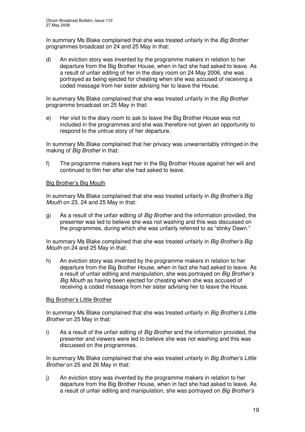In summary Ms Blake complained that she was treated unfairly in the *Big Brother* programmes broadcast on 24 and 25 May in that:

d) An eviction story was invented by the programme makers in relation to her departure from the Big Brother House, when in fact she had asked to leave. As a result of unfair editing of her in the diary room on 24 May 2006, she was portrayed as being ejected for cheating when she was accused of receiving a coded message from her sister advising her to leave the House.

In summary Ms Blake complained that she was treated unfairly in the *Big Brother* programme broadcast on 25 May in that:

e) Her visit to the diary room to ask to leave the Big Brother House was not included in the programmes and she was therefore not given an opportunity to respond to the untrue story of her departure.

In summary Ms Blake complained that her privacy was unwarrantably infringed in the making of *Big Brother* in that:

f) The programme makers kept her in the Big Brother House against her will and continued to film her after she had asked to leave.

#### Big Brother's Big Mouth

In summary Ms Blake complained that she was treated unfairly in *Big Brother's Big Mouth* on 23, 24 and 25 May in that:

g) As a result of the unfair editing of *Big Brother* and the information provided, the presenter was led to believe she was not washing and this was discussed on the programmes, during which she was unfairly referred to as "stinky Dawn."

In summary Ms Blake complained that she was treated unfairly in *Big Brother's Big Mouth* on 24 and 25 May in that:

h) An eviction story was invented by the programme makers in relation to her departure from the Big Brother House, when in fact she had asked to leave. As a result of unfair editing and manipulation, she was portrayed on *Big Brother's Big Mouth* as having been ejected for cheating when she was accused of receiving a coded message from her sister advising her to leave the House.

#### Big Brother's Little Brother

In summary Ms Blake complained that she was treated unfairly in *Big Brother's Little Brother* on 25 May in that:

i) As a result of the unfair editing of *Big Brother* and the information provided, the presenter and viewers were led to believe she was not washing and this was discussed on the programmes.

In summary Ms Blake complained that she was treated unfairly in *Big Brother's Little Brother* on 25 and 26 May in that:

j) An eviction story was invented by the programme makers in relation to her departure from the Big Brother House, when in fact she had asked to leave. As a result of unfair editing and manipulation, she was portrayed on *Big Brother's*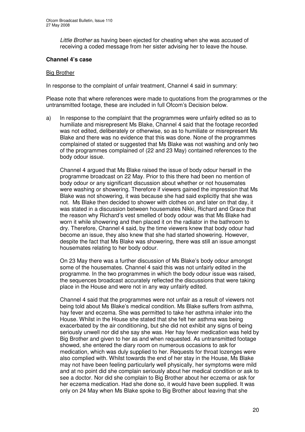*Little Brother* as having been ejected for cheating when she was accused of receiving a coded message from her sister advising her to leave the house.

#### **Channel 4's case**

#### Big Brother

In response to the complaint of unfair treatment, Channel 4 said in summary:

Please note that where references were made to quotations from the programmes or the untransmitted footage, these are included in full Ofcom's Decision below.

a) In response to the complaint that the programmes were unfairly edited so as to humiliate and misrepresent Ms Blake, Channel 4 said that the footage recorded was not edited, deliberately or otherwise, so as to humiliate or misrepresent Ms Blake and there was no evidence that this was done. None of the programmes complained of stated or suggested that Ms Blake was not washing and only two of the programmes complained of (22 and 23 May) contained references to the body odour issue.

Channel 4 argued that Ms Blake raised the issue of body odour herself in the programme broadcast on 22 May. Prior to this there had been no mention of body odour or any significant discussion about whether or not housemates were washing or showering. Therefore if viewers gained the impression that Ms Blake was not showering, it was because she had said explicitly that she was not. Ms Blake then decided to shower with clothes on and later on that day, it was stated in a discussion between housemates Nikki, Richard and Grace that the reason why Richard's vest smelled of body odour was that Ms Blake had worn it while showering and then placed it on the radiator in the bathroom to dry. Therefore, Channel 4 said, by the time viewers knew that body odour had become an issue, they also knew that she had started showering. However, despite the fact that Ms Blake was showering, there was still an issue amongst housemates relating to her body odour.

On 23 May there was a further discussion of Ms Blake's body odour amongst some of the housemates. Channel 4 said this was not unfairly edited in the programme. In the two programmes in which the body odour issue was raised, the sequences broadcast accurately reflected the discussions that were taking place in the House and were not in any way unfairly edited.

Channel 4 said that the programmes were not unfair as a result of viewers not being told about Ms Blake's medical condition. Ms Blake suffers from asthma, hay fever and eczema. She was permitted to take her asthma inhaler into the House. Whilst in the House she stated that she felt her asthma was being exacerbated by the air conditioning, but she did not exhibit any signs of being seriously unwell nor did she say she was. Her hay fever medication was held by Big Brother and given to her as and when requested. As untransmitted footage showed, she entered the diary room on numerous occasions to ask for medication, which was duly supplied to her. Requests for throat lozenges were also complied with. Whilst towards the end of her stay in the House, Ms Blake may not have been feeling particularly well physically, her symptoms were mild and at no point did she complain seriously about her medical condition or ask to see a doctor. Nor did she complain to Big Brother about her eczema or ask for her eczema medication. Had she done so, it would have been supplied. It was only on 24 May when Ms Blake spoke to Big Brother about leaving that she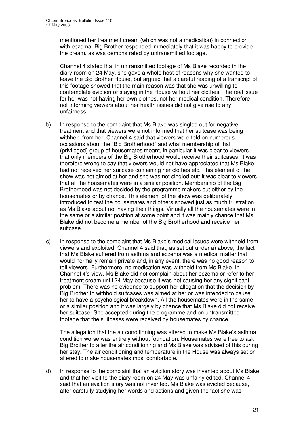mentioned her treatment cream (which was not a medication) in connection with eczema. Big Brother responded immediately that it was happy to provide the cream, as was demonstrated by untransmitted footage.

Channel 4 stated that in untransmitted footage of Ms Blake recorded in the diary room on 24 May, she gave a whole host of reasons why she wanted to leave the Big Brother House, but argued that a careful reading of a transcript of this footage showed that the main reason was that she was unwilling to contemplate eviction or staying in the House without her clothes. The real issue for her was not having her own clothes, not her medical condition. Therefore not informing viewers about her health issues did not give rise to any unfairness.

- b) In response to the complaint that Ms Blake was singled out for negative treatment and that viewers were not informed that her suitcase was being withheld from her, Channel 4 said that viewers were told on numerous occasions about the "Big Brotherhood" and what membership of that (privileged) group of housemates meant, in particular it was clear to viewers that only members of the Big Brotherhood would receive their suitcases. It was therefore wrong to say that viewers would not have appreciated that Ms Blake had not received her suitcase containing her clothes etc. This element of the show was not aimed at her and she was not singled out: it was clear to viewers that all the housemates were in a similar position. Membership of the Big Brotherhood was not decided by the programme makers but either by the housemates or by chance. This element of the show was deliberately introduced to test the housemates and others showed just as much frustration as Ms Blake about not having their things. Virtually all the housemates were in the same or a similar position at some point and it was mainly chance that Ms Blake did not become a member of the Big Brotherhood and receive her suitcase.
- c) In response to the complaint that Ms Blake's medical issues were withheld from viewers and exploited, Channel 4 said that, as set out under a) above, the fact that Ms Blake suffered from asthma and eczema was a medical matter that would normally remain private and, in any event, there was no good reason to tell viewers. Furthermore, no medication was withheld from Ms Blake. In Channel 4's view, Ms Blake did not complain about her eczema or refer to her treatment cream until 24 May because it was not causing her any significant problem. There was no evidence to support her allegation that the decision by Big Brother to withhold suitcases was aimed at her or was intended to cause her to have a psychological breakdown. All the housemates were in the same or a similar position and it was largely by chance that Ms Blake did not receive her suitcase. She accepted during the programme and on untransmitted footage that the suitcases were received by housemates by chance.

The allegation that the air conditioning was altered to make Ms Blake's asthma condition worse was entirely without foundation. Housemates were free to ask Big Brother to alter the air conditioning and Ms Blake was advised of this during her stay. The air conditioning and temperature in the House was always set or altered to make housemates most comfortable.

d) In response to the complaint that an eviction story was invented about Ms Blake and that her visit to the diary room on 24 May was unfairly edited, Channel 4 said that an eviction story was not invented. Ms Blake was evicted because, after carefully studying her words and actions and given the fact she was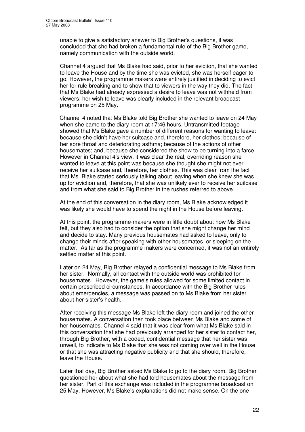unable to give a satisfactory answer to Big Brother's questions, it was concluded that she had broken a fundamental rule of the Big Brother game, namely communication with the outside world.

Channel 4 argued that Ms Blake had said, prior to her eviction, that she wanted to leave the House and by the time she was evicted, she was herself eager to go. However, the programme makers were entirely justified in deciding to evict her for rule breaking and to show that to viewers in the way they did. The fact that Ms Blake had already expressed a desire to leave was not withheld from viewers: her wish to leave was clearly included in the relevant broadcast programme on 25 May.

Channel 4 noted that Ms Blake told Big Brother she wanted to leave on 24 May when she came to the diary room at 17:46 hours. Untransmitted footage showed that Ms Blake gave a number of different reasons for wanting to leave: because she didn't have her suitcase and, therefore, her clothes; because of her sore throat and deteriorating asthma; because of the actions of other housemates; and, because she considered the show to be turning into a farce. However in Channel 4's view, it was clear the real, overriding reason she wanted to leave at this point was because she thought she might not ever receive her suitcase and, therefore, her clothes. This was clear from the fact that Ms. Blake started seriously talking about leaving when she knew she was up for eviction and, therefore, that she was unlikely ever to receive her suitcase and from what she said to Big Brother in the rushes referred to above.

At the end of this conversation in the diary room, Ms Blake acknowledged it was likely she would have to spend the night in the House before leaving.

At this point, the programme-makers were in little doubt about how Ms Blake felt, but they also had to consider the option that she might change her mind and decide to stay. Many previous housemates had asked to leave, only to change their minds after speaking with other housemates, or sleeping on the matter. As far as the programme makers were concerned, it was not an entirely settled matter at this point.

Later on 24 May, Big Brother relayed a confidential message to Ms Blake from her sister. Normally, all contact with the outside world was prohibited for housemates. However, the game's rules allowed for some limited contact in certain prescribed circumstances. In accordance with the Big Brother rules about emergencies, a message was passed on to Ms Blake from her sister about her sister's health.

After receiving this message Ms Blake left the diary room and joined the other housemates. A conversation then took place between Ms Blake and some of her housemates. Channel 4 said that it was clear from what Ms Blake said in this conversation that she had previously arranged for her sister to contact her, through Big Brother, with a coded, confidential message that her sister was unwell, to indicate to Ms Blake that she was not coming over well in the House or that she was attracting negative publicity and that she should, therefore, leave the House.

Later that day, Big Brother asked Ms Blake to go to the diary room. Big Brother questioned her about what she had told housemates about the message from her sister. Part of this exchange was included in the programme broadcast on 25 May. However, Ms Blake's explanations did not make sense. On the one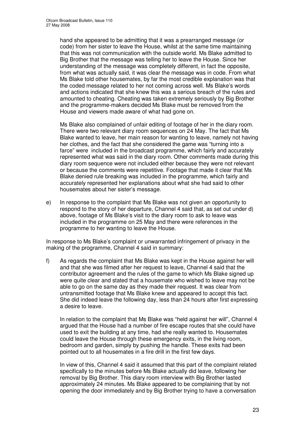hand she appeared to be admitting that it was a prearranged message (or code) from her sister to leave the House, whilst at the same time maintaining that this was not communication with the outside world. Ms Blake admitted to Big Brother that the message was telling her to leave the House. Since her understanding of the message was completely different, in fact the opposite, from what was actually said, it was clear the message was in code. From what Ms Blake told other housemates, by far the most credible explanation was that the coded message related to her not coming across well. Ms Blake's words and actions indicated that she knew this was a serious breach of the rules and amounted to cheating. Cheating was taken extremely seriously by Big Brother and the programme-makers decided Ms Blake must be removed from the House and viewers made aware of what had gone on.

Ms Blake also complained of unfair editing of footage of her in the diary room. There were two relevant diary room sequences on 24 May. The fact that Ms Blake wanted to leave, her main reason for wanting to leave, namely not having her clothes, and the fact that she considered the game was "turning into a farce" were included in the broadcast programme, which fairly and accurately represented what was said in the diary room. Other comments made during this diary room sequence were not included either because they were not relevant or because the comments were repetitive. Footage that made it clear that Ms Blake denied rule breaking was included in the programme, which fairly and accurately represented her explanations about what she had said to other housemates about her sister's message.

e) In response to the complaint that Ms Blake was not given an opportunity to respond to the story of her departure, Channel 4 said that, as set out under d) above, footage of Ms Blake's visit to the diary room to ask to leave was included in the programme on 25 May and there were references in the programme to her wanting to leave the House.

In response to Ms Blake's complaint or unwarranted infringement of privacy in the making of the programme, Channel 4 said in summary:

f) As regards the complaint that Ms Blake was kept in the House against her will and that she was filmed after her request to leave, Channel 4 said that the contributor agreement and the rules of the game to which Ms Blake signed up were quite clear and stated that a housemate who wished to leave may not be able to go on the same day as they made their request. It was clear from untransmitted footage that Ms Blake knew and appeared to accept this fact. She did indeed leave the following day, less than 24 hours after first expressing a desire to leave.

In relation to the complaint that Ms Blake was "held against her will", Channel 4 argued that the House had a number of fire escape routes that she could have used to exit the building at any time, had she really wanted to. Housemates could leave the House through these emergency exits, in the living room, bedroom and garden, simply by pushing the handle. These exits had been pointed out to all housemates in a fire drill in the first few days.

In view of this, Channel 4 said it assumed that this part of the complaint related specifically to the minutes before Ms Blake actually did leave, following her removal by Big Brother. This diary room interview with Big Brother lasted approximately 24 minutes. Ms Blake appeared to be complaining that by not opening the door immediately and by Big Brother trying to have a conversation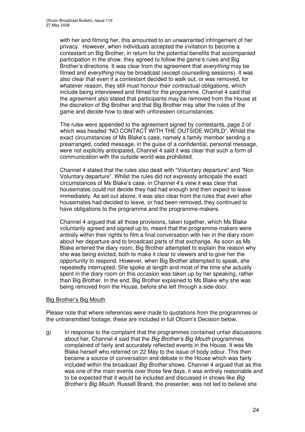with her and filming her, this amounted to an unwarranted infringement of her privacy. However, when individuals accepted the invitation to become a contestant on Big Brother, in return for the potential benefits that accompanied participation in the show, they agreed to follow the game's rules and Big Brother's directions. It was clear from the agreement that *everything* may be filmed and *everything* may be broadcast (except counselling sessions). It was also clear that even if a contestant decided to walk out, or was removed, for whatever reason, they still must honour their contractual obligations, which include being interviewed and filmed for the programme. Channel 4 said that the agreement also stated that participants may be removed from the House at the discretion of Big Brother and that Big Brother may alter the rules of the game and decide how to deal with unforeseen circumstances.

The rules were appended to the agreement signed by contestants, page 2 of which was headed "NO CONTACT WITH THE OUTSIDE WORLD". Whilst the exact circumstances of Ms Blake's case, namely a family member sending a prearranged, coded message, in the guise of a confidential, personal message, were not explicitly anticipated, Channel 4 said it was clear that such a form of communication with the outside world was prohibited.

Channel 4 stated that the rules also dealt with "Voluntary departure" and "Non Voluntary departure". Whilst the rules did not expressly anticipate the exact circumstances of Ms Blake's case, in Channel 4's view it was clear that housemates could not decide they had had enough and then expect to leave immediately. As set out above, it was also clear from the rules that even after housemates had decided to leave, or had been removed, they continued to have obligations to the programme and the programme-makers.

Channel 4 argued that all those provisions, taken together, which Ms Blake voluntarily agreed and signed up to, meant that the programme-makers were entirely within their rights to film a final conversation with her in the diary room about her departure and to broadcast parts of that exchange. As soon as Ms Blake entered the diary room, Big Brother attempted to explain the reason why she was being evicted, both to make it clear to viewers and to give her the opportunity to respond. However, when Big Brother attempted to speak, she repeatedly interrupted. She spoke at length and most of the time she actually spent in the diary room on this occasion was taken up by her speaking, rather than Big Brother. In the end, Big Brother explained to Ms Blake why she was being removed from the House, before she left through a side door.

#### Big Brother's Big Mouth

Please note that where references were made to quotations from the programmes or the untransmitted footage, these are included in full Ofcom's Decision below.

g) In response to the complaint that the programmes contained unfair discussions about her, Channel 4 said that the *Big Brother's Big Mouth* programmes complained of fairly and accurately reflected events in the House. It was Ms Blake herself who referred on 22 May to the issue of body odour. This then became a source of conversation and debate in the House which was fairly included within the broadcast *Big Brother* shows. Channel 4 argued that as this was one of the main events over those few days, it was entirely reasonable and to be expected that it would be included and discussed in shows like *Big Brother's Big Mouth*. Russell Brand, the presenter, was not led to believe she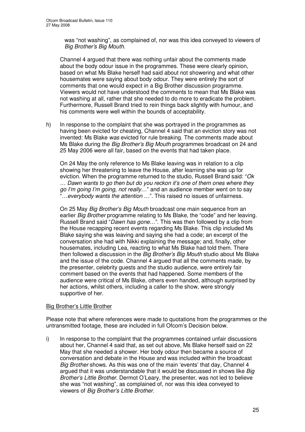was "not washing", as complained of, nor was this idea conveyed to viewers of *Big Brother's Big Mouth*.

Channel 4 argued that there was nothing unfair about the comments made about the body odour issue in the programmes. These were clearly opinion, based on what Ms Blake herself had said about not showering and what other housemates were saying about body odour. They were entirely the sort of comments that one would expect in a Big Brother discussion programme. Viewers would not have understood the comments to mean that Ms Blake was not washing at all, rather that she needed to do more to eradicate the problem. Furthermore, Russell Brand tried to rein things back slightly with humour, and his comments were well within the bounds of acceptability.

h) In response to the complaint that she was portrayed in the programmes as having been evicted for cheating, Channel 4 said that an eviction story was not invented: Ms Blake *was* evicted for rule breaking. The comments made about Ms Blake during the *Big Brother's Big Mouth* programmes broadcast on 24 and 25 May 2006 were all fair, based on the events that had taken place.

On 24 May the only reference to Ms Blake leaving was in relation to a clip showing her threatening to leave the House, after learning she was up for eviction. When the programme returned to the studio, Russell Brand said: "*Ok … Dawn wants to go then but do you reckon it's one of them ones where they go I'm going I'm going, not really…*" and an audience member went on to say "…*everybody wants the attention …*". This raised no issues of unfairness.

On 25 May *Big Brother's Big Mouth* broadcast one main sequence from an earlier *Big Brother* programme relating to Ms Blake, the "code" and her leaving. Russell Brand said "*Dawn has gone…*". This was then followed by a clip from the House recapping recent events regarding Ms Blake. This clip included Ms Blake saying she was leaving and saying she had a code; an excerpt of the conversation she had with Nikki explaining the message; and, finally, other housemates, including Lea, reacting to what Ms Blake had told them. There then followed a discussion in the *Big Brother's Big Mouth* studio about Ms Blake and the issue of the code. Channel 4 argued that all the comments made, by the presenter, celebrity guests and the studio audience, were entirely fair comment based on the events that had happened. Some members of the audience were critical of Ms Blake, others even handed, although surprised by her actions, whilst others, including a caller to the show, were strongly supportive of her.

#### Big Brother's Little Brother

Please note that where references were made to quotations from the programmes or the untransmitted footage, these are included in full Ofcom's Decision below.

i) In response to the complaint that the programmes contained unfair discussions about her, Channel 4 said that, as set out above, Ms Blake herself said on 22 May that she needed a shower. Her body odour then became a source of conversation and debate in the House and was included within the broadcast *Big Brother* shows. As this was one of the main 'events' that day, Channel 4 argued that it was understandable that it would be discussed in shows like *Big Brother's Little Brother*. Dermot O'Leary, the presenter, was not led to believe she was "not washing", as complained of, nor was this idea conveyed to viewers of *Big Brother's Little Brother*.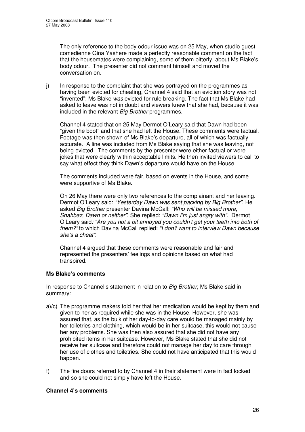The only reference to the body odour issue was on 25 May, when studio guest comedienne Gina Yashere made a perfectly reasonable comment on the fact that the housemates were complaining, some of them bitterly, about Ms Blake's body odour. The presenter did not comment himself and moved the conversation on.

j) In response to the complaint that she was portrayed on the programmes as having been evicted for cheating, Channel 4 said that an eviction story was not "invented": Ms Blake *was* evicted for rule breaking. The fact that Ms Blake had asked to leave was not in doubt and viewers knew that she had, because it was included in the relevant *Big Brother* programmes.

Channel 4 stated that on 25 May Dermot O'Leary said that Dawn had been "given the boot" and that she had left the House. These comments were factual. Footage was then shown of Ms Blake's departure, all of which was factually accurate. A line was included from Ms Blake saying that she was leaving, not being evicted. The comments by the presenter were either factual or were jokes that were clearly within acceptable limits. He then invited viewers to call to say what effect they think Dawn's departure would have on the House.

The comments included were fair, based on events in the House, and some were supportive of Ms Blake.

On 26 May there were only two references to the complainant and her leaving. Dermot O'Leary said: *"Yesterday Dawn was sent packing by Big Brother"*. He asked *Big Brother* presenter Davina McCall: *"Who will be missed more, Shahbaz, Dawn or neither"*. She replied: *"Dawn I'm just angry with".* Dermot O'Leary said*: "Are you not a bit annoyed you couldn't get your teeth into both of them?"* to which Davina McCall replied: *"I don't want to interview Dawn because she's a cheat"*.

Channel 4 argued that these comments were reasonable and fair and represented the presenters' feelings and opinions based on what had transpired.

#### **Ms Blake's comments**

In response to Channel's statement in relation to *Big Brother*, Ms Blake said in summary:

- a)/c) The programme makers told her that her medication would be kept by them and given to her as required while she was in the House. However, she was assured that, as the bulk of her day-to-day care would be managed mainly by her toiletries and clothing, which would be in her suitcase, this would not cause her any problems. She was then also assured that she did not have any prohibited items in her suitcase. However, Ms Blake stated that she did not receive her suitcase and therefore could not manage her day to care through her use of clothes and toiletries. She could not have anticipated that this would happen.
- f) The fire doors referred to by Channel 4 in their statement were in fact locked and so she could not simply have left the House.

#### **Channel 4's comments**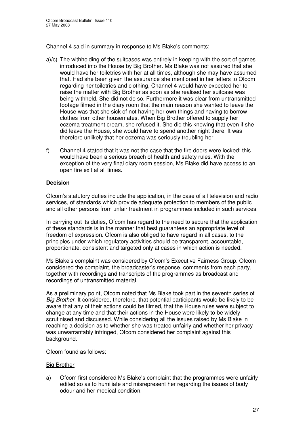Channel 4 said in summary in response to Ms Blake's comments:

- a)/c) The withholding of the suitcases was entirely in keeping with the sort of games introduced into the House by Big Brother. Ms Blake was not assured that she would have her toiletries with her at all times, although she may have assumed that. Had she been given the assurance she mentioned in her letters to Ofcom regarding her toiletries and clothing, Channel 4 would have expected her to raise the matter with Big Brother as soon as she realised her suitcase was being withheld. She did not do so. Furthermore it was clear from untransmitted footage filmed in the diary room that the main reason she wanted to leave the House was that she sick of not having her own things and having to borrow clothes from other housemates. When Big Brother offered to supply her eczema treatment cream, she refused it. She did this knowing that even if she did leave the House, she would have to spend another night there. It was therefore unlikely that her eczema was seriously troubling her.
- f) Channel 4 stated that it was not the case that the fire doors were locked: this would have been a serious breach of health and safety rules. With the exception of the very final diary room session, Ms Blake did have access to an open fire exit at all times.

#### **Decision**

Ofcom's statutory duties include the application, in the case of all television and radio services, of standards which provide adequate protection to members of the public and all other persons from unfair treatment in programmes included in such services.

In carrying out its duties, Ofcom has regard to the need to secure that the application of these standards is in the manner that best guarantees an appropriate level of freedom of expression. Ofcom is also obliged to have regard in all cases, to the principles under which regulatory activities should be transparent, accountable, proportionate, consistent and targeted only at cases in which action is needed.

Ms Blake's complaint was considered by Ofcom's Executive Fairness Group. Ofcom considered the complaint, the broadcaster's response, comments from each party, together with recordings and transcripts of the programmes as broadcast and recordings of untransmitted material.

As a preliminary point, Ofcom noted that Ms Blake took part in the seventh series of *Big Brother*. It considered, therefore, that potential participants would be likely to be aware that any of their actions could be filmed, that the House rules were subject to change at any time and that their actions in the House were likely to be widely scrutinised and discussed. While considering all the issues raised by Ms Blake in reaching a decision as to whether she was treated unfairly and whether her privacy was unwarrantably infringed, Ofcom considered her complaint against this background.

Ofcom found as follows:

#### Big Brother

a) Ofcom first considered Ms Blake's complaint that the programmes were unfairly edited so as to humiliate and misrepresent her regarding the issues of body odour and her medical condition.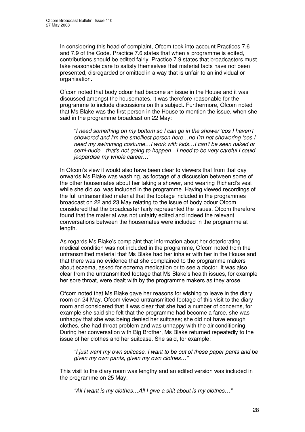In considering this head of complaint, Ofcom took into account Practices 7.6 and 7.9 of the Code. Practice 7.6 states that when a programme is edited, contributions should be edited fairly. Practice 7.9 states that broadcasters must take reasonable care to satisfy themselves that material facts have not been presented, disregarded or omitted in a way that is unfair to an individual or organisation.

Ofcom noted that body odour had become an issue in the House and it was discussed amongst the housemates. It was therefore reasonable for the programme to include discussions on this subject. Furthermore, Ofcom noted that Ms Blake was the first person in the House to mention the issue, when she said in the programme broadcast on 22 May:

"*I need something on my bottom so I can go in the shower 'cos I haven't showered and I'm the smelliest person here…no I'm not showering 'cos I need my swimming costume…I work with kids…I can't be seen naked or semi-nude…that's not going to happen…I need to be very careful I could jeopardise my whole career…*"

In Ofcom's view it would also have been clear to viewers that from that day onwards Ms Blake was washing, as footage of a discussion between some of the other housemates about her taking a shower, and wearing Richard's vest while she did so, was included in the programme. Having viewed recordings of the full untransmitted material that the footage included in the programmes broadcast on 22 and 23 May relating to the issue of body odour Ofcom considered that the broadcaster fairly represented the issues. Ofcom therefore found that the material was not unfairly edited and indeed the relevant conversations between the housemates were included in the programme at length.

As regards Ms Blake's complaint that information about her deteriorating medical condition was not included in the programme, Ofcom noted from the untransmitted material that Ms Blake had her inhaler with her in the House and that there was no evidence that she complained to the programme makers about eczema, asked for eczema medication or to see a doctor. It was also clear from the untransmitted footage that Ms Blake's health issues, for example her sore throat, were dealt with by the programme makers as they arose.

Ofcom noted that Ms Blake gave her reasons for wishing to leave in the diary room on 24 May. Ofcom viewed untransmitted footage of this visit to the diary room and considered that it was clear that she had a number of concerns, for example she said she felt that the programme had become a farce, she was unhappy that she was being denied her suitcase; she did not have enough clothes, she had throat problem and was unhappy with the air conditioning. During her conversation with Big Brother, Ms Blake returned repeatedly to the issue of her clothes and her suitcase. She said, for example:

*"I just want my own suitcase. I want to be out of these paper pants and be given my own pants, given my own clothes…"*

This visit to the diary room was lengthy and an edited version was included in the programme on 25 May:

*"All I want is my clothes…All I give a shit about is my clothes…"*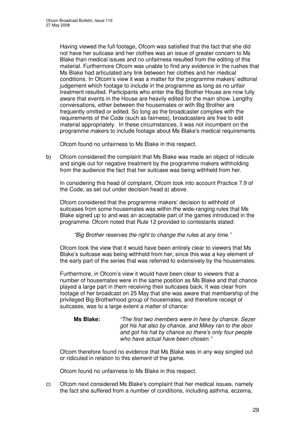Having viewed the full footage, Ofcom was satisfied that the fact that she did not have her suitcase and her clothes was an issue of greater concern to Ms Blake than medical issues and no unfairness resulted from the editing of this material. Furthermore Ofcom was unable to find any evidence in the rushes that Ms Blake had articulated any link between her clothes and her medical conditions. In Ofcom's view it was a matter for the programme makers' editorial judgement which footage to include in the programme as long as no unfair treatment resulted. Participants who enter the Big Brother House are now fully aware that events in the House are heavily edited for the main show. Lengthy conversations, either between the housemates or with Big Brother are frequently omitted or edited. So long as the broadcaster complies with the requirements of the Code (such as fairness), broadcasters are free to edit material appropriately. In these circumstances, it was not incumbent on the programme makers to include footage about Ms Blake's medical requirements.

Ofcom found no unfairness to Ms Blake in this respect.

b) Ofcom considered the complaint that Ms Blake was made an object of ridicule and single out for negative treatment by the programme makers withholding from the audience the fact that her suitcase was being withheld from her.

In considering this head of complaint, Ofcom took into account Practice 7.9 of the Code, as set out under decision head a) above.

Ofcom considered that the programme makers' decision to withhold of suitcases from some housemates was within the wide-ranging rules that Ms Blake signed up to and was an acceptable part of the games introduced in the programme. Ofcom noted that Rule 12 provided to contestants stated:

#### *"Big Brother reserves the right to change the rules at any time."*

Ofcom took the view that it would have been entirely clear to viewers that Ms Blake's suitcase was being withheld from her, since this was a key element of the early part of the series that was referred to extensively by the housemates.

Furthermore, in Ofcom's view it would have been clear to viewers that a number of housemates were in the same position as Ms Blake and that chance played a large part in them receiving their suitcases back. It was clear from footage of her broadcast on 25 May that she was aware that membership of the privileged Big Brotherhood group of housemates, and therefore receipt of suitcases, was to a large extent a matter of chance:

#### **Ms Blake:** *"The first two members were in here by chance. Sezer got his hat also by chance, and Mikey ran to the door and got his hat by chance so there's only four people who have actual have been chosen."*

Ofcom therefore found no evidence that Ms Blake was in any way singled out or ridiculed in relation to this element of the game.

Ofcom found no unfairness to Ms Blake in this respect.

c) Ofcom next considered Ms Blake's complaint that her medical issues, namely the fact she suffered from a number of conditions, including asthma, eczema,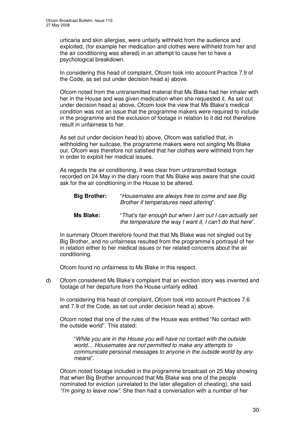urticaria and skin allergies, were unfairly withheld from the audience and exploited, (for example her medication and clothes were withheld from her and the air conditioning was altered) in an attempt to cause her to have a psychological breakdown.

In considering this head of complaint, Ofcom took into account Practice 7.9 of the Code, as set out under decision head a) above.

Ofcom noted from the untransmitted material that Ms Blake had her inhaler with her in the House and was given medication when she requested it. As set out under decision head a) above, Ofcom took the view that Ms Blake's medical condition was not an issue that the programme makers were required to include in the programme and the exclusion of footage in relation to it did not therefore result in unfairness to her.

As set out under decision head b) above, Ofcom was satisfied that, in withholding her suitcase, the programme makers were not singling Ms Blake out. Ofcom was therefore not satisfied that her clothes were withheld from her in order to exploit her medical issues.

As regards the air conditioning, it was clear from untransmitted footage recorded on 24 May in the diary room that Ms Blake was aware that she could ask for the air conditioning in the House to be altered.

| <b>Big Brother:</b> | "Housemates are always free to come and see Big<br>Brother if temperatures need altering". |  |
|---------------------|--------------------------------------------------------------------------------------------|--|
|                     |                                                                                            |  |

**Ms Blake:** "*That's fair enough but when I am out I can actually set the temperature the way I want it, I can't do that here*".

In summary Ofcom therefore found that that Ms Blake was not singled out by Big Brother, and no unfairness resulted from the programme's portrayal of her in relation either to her medical issues or her related concerns about the air conditioning.

Ofcom found no unfairness to Ms Blake in this respect.

d) Ofcom considered Ms Blake's complaint that an eviction story was invented and footage of her departure from the House unfairly edited.

In considering this head of complaint, Ofcom took into account Practices 7.6 and 7.9 of the Code, as set out under decision head a) above.

Ofcom noted that one of the rules of the House was entitled "No contact with the outside world". This stated:

"*While you are in the House you will have no contact with the outside world… Housemates are not permitted to make any attempts to communicate personal messages to anyone in the outside world by any means*".

Ofcom noted footage included in the programme broadcast on 25 May showing that when Big Brother announced that Ms Blake was one of the people nominated for eviction (unrelated to the later allegation of cheating), she said *"I'm going to leave now".* She then had a conversation with a number of her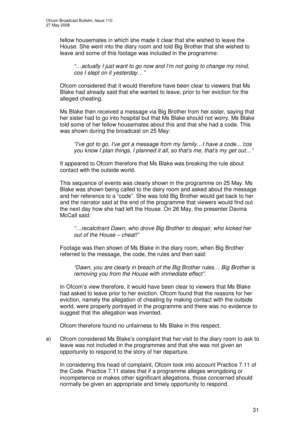fellow housemates in which she made it clear that she wished to leave the House. She went into the diary room and told Big Brother that she wished to leave and some of this footage was included in the programme:

*"…actually I just want to go now and I'm not going to change my mind, cos I slept on it yesterday…"*

Ofcom considered that it would therefore have been clear to viewers that Ms Blake had already said that she wanted to leave, prior to her eviction for the alleged cheating.

Ms Blake then received a message via Big Brother from her sister, saying that her sister had to go into hospital but that Ms Blake should not worry. Ms Blake told some of her fellow housemates about this and that she had a code. This was shown during the broadcast on 25 May:

*"I've got to go, I've got a message from my family…I have a code…'cos you know I plan things, I planned it all, so that's me, that's my get out…"*

It appeared to Ofcom therefore that Ms Blake was breaking the rule about contact with the outside world.

This sequence of events was clearly shown in the programme on 25 May. Ms Blake was shown being called to the dairy room and asked about the message and her reference to a "code". She was told Big Brother would get back to her and the narrator said at the end of the programme that viewers would find out the next day how she had left the House. On 26 May, the presenter Davina McCall said:

*"…recalcitrant Dawn, who drove Big Brother to despair, who kicked her out of the House – cheat!"*

Footage was then shown of Ms Blake in the diary room, when Big Brother referred to the message, the code, the rules and then said:

*"Dawn, you are clearly in breach of the Big Brother rules… Big Brother is removing you from the House with immediate effect".*

In Ofcom's view therefore, it would have been clear to viewers that Ms Blake had asked to leave prior to her eviction. Ofcom found that the reasons for her eviction, namely the allegation of cheating by making contact with the outside world, were properly portrayed in the programme and there was no evidence to suggest that the allegation was invented.

Ofcom therefore found no unfairness to Ms Blake in this respect.

e) Ofcom considered Ms Blake's complaint that her visit to the diary room to ask to leave was not included in the programmes and that she was not given an opportunity to respond to the story of her departure.

In considering this head of complaint, Ofcom took into account Practice 7.11 of the Code. Practice 7.11 states that if a programme alleges wrongdoing or incompetence or makes other significant allegations, those concerned should normally be given an appropriate and timely opportunity to respond.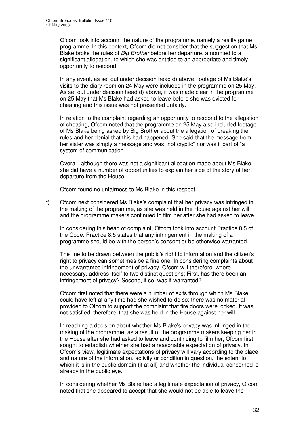Ofcom took into account the nature of the programme, namely a reality game programme. In this context, Ofcom did not consider that the suggestion that Ms Blake broke the rules of *Big Brother* before her departure, amounted to a significant allegation, to which she was entitled to an appropriate and timely opportunity to respond.

In any event, as set out under decision head d) above, footage of Ms Blake's visits to the diary room on 24 May were included in the programme on 25 May. As set out under decision head d) above, it was made clear in the programme on 25 May that Ms Blake had asked to leave before she was evicted for cheating and this issue was not presented unfairly.

In relation to the complaint regarding an opportunity to respond to the allegation of cheating, Ofcom noted that the programme on 25 May also included footage of Ms Blake being asked by Big Brother about the allegation of breaking the rules and her denial that this had happened. She said that the message from her sister was simply a message and was "not cryptic" nor was it part of "a system of communication".

Overall, although there was not a significant allegation made about Ms Blake, she did have a number of opportunities to explain her side of the story of her departure from the House.

Ofcom found no unfairness to Ms Blake in this respect.

f) Ofcom next considered Ms Blake's complaint that her privacy was infringed in the making of the programme, as she was held in the House against her will and the programme makers continued to film her after she had asked to leave.

In considering this head of complaint, Ofcom took into account Practice 8.5 of the Code. Practice 8.5 states that any infringement in the making of a programme should be with the person's consent or be otherwise warranted.

The line to be drawn between the public's right to information and the citizen's right to privacy can sometimes be a fine one. In considering complaints about the unwarranted infringement of privacy, Ofcom will therefore, where necessary, address itself to two distinct questions: First, has there been an infringement of privacy? Second, if so, was it warranted?

Ofcom first noted that there were a number of exits through which Ms Blake could have left at any time had she wished to do so: there was no material provided to Ofcom to support the complaint that fire doors were locked. It was not satisfied, therefore, that she was held in the House against her will.

In reaching a decision about whether Ms Blake's privacy was infringed in the making of the programme, as a result of the programme makers keeping her in the House after she had asked to leave and continuing to film her, Ofcom first sought to establish whether she had a reasonable expectation of privacy. In Ofcom's view, legitimate expectations of privacy will vary according to the place and nature of the information, activity or condition in question, the extent to which it is in the public domain (if at all) and whether the individual concerned is already in the public eye.

In considering whether Ms Blake had a legitimate expectation of privacy, Ofcom noted that she appeared to accept that she would not be able to leave the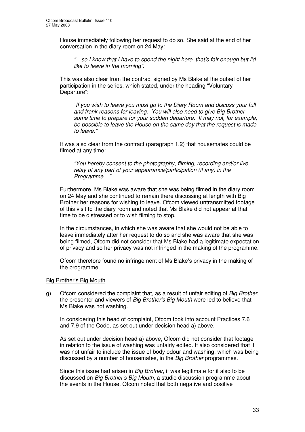House immediately following her request to do so. She said at the end of her conversation in the diary room on 24 May:

*"…so I know that I have to spend the night here, that's fair enough but I'd like to leave in the morning".*

This was also clear from the contract signed by Ms Blake at the outset of her participation in the series, which stated, under the heading "Voluntary Departure":

*"If you wish to leave you must go to the Diary Room and discuss your full and frank reasons for leaving. You will also need to give Big Brother some time to prepare for your sudden departure. It may not, for example, be possible to leave the House on the same day that the request is made to leave."*

It was also clear from the contract (paragraph 1.2) that housemates could be filmed at any time:

*"You hereby consent to the photography, filming, recording and/or live relay of any part of your appearance/participation (if any) in the Programme…"*

Furthermore, Ms Blake was aware that she was being filmed in the diary room on 24 May and she continued to remain there discussing at length with Big Brother her reasons for wishing to leave. Ofcom viewed untransmitted footage of this visit to the diary room and noted that Ms Blake did not appear at that time to be distressed or to wish filming to stop.

In the circumstances, in which she was aware that she would not be able to leave immediately after her request to do so and she was aware that she was being filmed, Ofcom did not consider that Ms Blake had a legitimate expectation of privacy and so her privacy was not infringed in the making of the programme.

Ofcom therefore found no infringement of Ms Blake's privacy in the making of the programme.

#### Big Brother's Big Mouth

g) Ofcom considered the complaint that, as a result of unfair editing of *Big Brother*, the presenter and viewers of *Big Brother's Big Mouth* were led to believe that Ms Blake was not washing.

In considering this head of complaint, Ofcom took into account Practices 7.6 and 7.9 of the Code, as set out under decision head a) above.

As set out under decision head a) above, Ofcom did not consider that footage in relation to the issue of washing was unfairly edited. It also considered that it was not unfair to include the issue of body odour and washing, which was being discussed by a number of housemates, in the *Big Brother* programmes.

Since this issue had arisen in *Big Brother*, it was legitimate for it also to be discussed on *Big Brother's Big Mouth*, a studio discussion programme about the events in the House. Ofcom noted that both negative and positive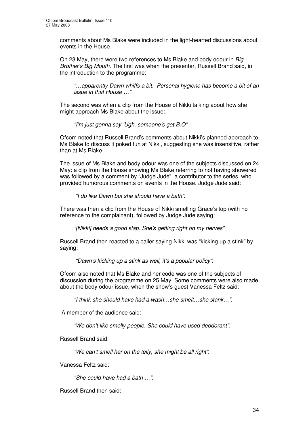comments about Ms Blake were included in the light-hearted discussions about events in the House.

On 23 May, there were two references to Ms Blake and body odour in *Big Brother's Big Mouth*. The first was when the presenter, Russell Brand said, in the introduction to the programme:

*"…apparently Dawn whiffs a bit. Personal hygiene has become a bit of an issue in that House …"*

The second was when a clip from the House of Nikki talking about how she might approach Ms Blake about the issue:

*"I'm just gonna say 'Ugh, someone's got B.O"*

Ofcom noted that Russell Brand's comments about Nikki's planned approach to Ms Blake to discuss it poked fun at Nikki, suggesting she was insensitive, rather than at Ms Blake.

The issue of Ms Blake and body odour was one of the subjects discussed on 24 May: a clip from the House showing Ms Blake referring to not having showered was followed by a comment by "Judge Jude", a contributor to the series, who provided humorous comments on events in the House. Judge Jude said:

*"I do like Dawn but she should have a bath".*

There was then a clip from the House of Nikki smelling Grace's top (with no reference to the complainant), followed by Judge Jude saying:

*"[Nikki] needs a good slap. She's getting right on my nerves".*

Russell Brand then reacted to a caller saying Nikki was "kicking up a stink" by saying:

*"Dawn's kicking up a stink as well, it's a popular policy".*

Ofcom also noted that Ms Blake and her code was one of the subjects of discussion during the programme on 25 May. Some comments were also made about the body odour issue, when the show's guest Vanessa Feltz said:

*"I think she should have had a wash…she smelt…she stank…".*

A member of the audience said:

*"We don't like smelly people. She could have used deodorant".*

Russell Brand said:

*"We can't smell her on the telly, she might be all right".*

Vanessa Feltz said:

*"She could have had a bath …".*

Russell Brand then said: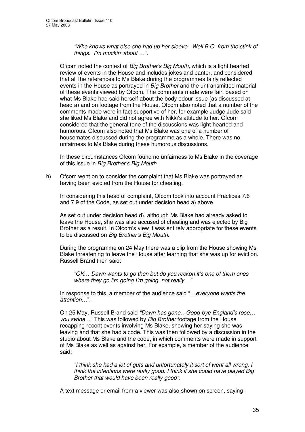*"Who knows what else she had up her sleeve. Well B.O. from the stink of things. I'm muckin' about …".*

Ofcom noted the context of *Big Brother's Big Mouth,* which is a light hearted review of events in the House and includes jokes and banter, and considered that all the references to Ms Blake during the programmes fairly reflected events in the House as portrayed in *Big Brother* and the untransmitted material of these events viewed by Ofcom. The comments made were fair, based on what Ms Blake had said herself about the body odour issue (as discussed at head a) and on footage from the House. Ofcom also noted that a number of the comments made were in fact supportive of her, for example Judge Jude said she liked Ms Blake and did not agree with Nikki's attitude to her. Ofcom considered that the general tone of the discussions was light-hearted and humorous. Ofcom also noted that Ms Blake was one of a number of housemates discussed during the programme as a whole. There was no unfairness to Ms Blake during these humorous discussions.

In these circumstances Ofcom found no unfairness to Ms Blake in the coverage of this issue in *Big Brother's Big Mouth*.

h) Ofcom went on to consider the complaint that Ms Blake was portrayed as having been evicted from the House for cheating.

In considering this head of complaint, Ofcom took into account Practices 7.6 and 7.9 of the Code, as set out under decision head a) above.

As set out under decision head d), although Ms Blake had already asked to leave the House, she was also accused of cheating and was ejected by Big Brother as a result. In Ofcom's view it was entirely appropriate for these events to be discussed on *Big Brother's Big Mouth*.

During the programme on 24 May there was a clip from the House showing Ms Blake threatening to leave the House after learning that she was up for eviction. Russell Brand then said:

*"OK… Dawn wants to go then but do you reckon it's one of them ones where they go I'm going I'm going, not really…"*

In response to this, a member of the audience said "…*everyone wants the attention*…".

On 25 May, Russell Brand said *"Dawn has gone*…*Good-bye England's rose… you swine…"* This was followed by *Big Brother* footage from the House recapping recent events involving Ms Blake, showing her saying she was leaving and that she had a code. This was then followed by a discussion in the studio about Ms Blake and the code, in which comments were made in support of Ms Blake as well as against her. For example, a member of the audience said:

*"I think she had a lot of guts and unfortunately it sort of went all wrong. I think the intentions were really good. I think if she could have played Big Brother that would have been really good".*

A text message or email from a viewer was also shown on screen, saying: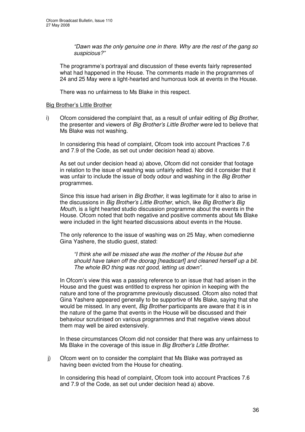*"Dawn was the only genuine one in there. Why are the rest of the gang so suspicious?"*

The programme's portrayal and discussion of these events fairly represented what had happened in the House. The comments made in the programmes of 24 and 25 May were a light-hearted and humorous look at events in the House.

There was no unfairness to Ms Blake in this respect.

#### Big Brother's Little Brother

i) Ofcom considered the complaint that, as a result of unfair editing of *Big Brother*, the presenter and viewers of *Big Brother's Little Brother were* led to believe that Ms Blake was not washing.

In considering this head of complaint, Ofcom took into account Practices 7.6 and 7.9 of the Code, as set out under decision head a) above.

As set out under decision head a) above, Ofcom did not consider that footage in relation to the issue of washing was unfairly edited. Nor did it consider that it was unfair to include the issue of body odour and washing in the *Big Brother* programmes.

Since this issue had arisen in *Big Brother*, it was legitimate for it also to arise in the discussions in *Big Brother's Little Brother*, which, like *Big Brother's Big Mouth,* is a light hearted studio discussion programme about the events in the House. Ofcom noted that both negative and positive comments about Ms Blake were included in the light hearted discussions about events in the House.

The only reference to the issue of washing was on 25 May, when comedienne Gina Yashere, the studio guest, stated:

*"I think she will be missed she was the mother of the House but she should have taken off the doorag [headscarf] and cleaned herself up a bit. The whole BO thing was not good, letting us down".*

In Ofcom's view this was a passing reference to an issue that had arisen in the House and the guest was entitled to express her opinion in keeping with the nature and tone of the programme previously discussed. Ofcom also noted that Gina Yashere appeared generally to be supportive of Ms Blake, saying that she would be missed. In any event, *Big Brother* participants are aware that it is in the nature of the game that events in the House will be discussed and their behaviour scrutinised on various programmes and that negative views about them may well be aired extensively.

In these circumstances Ofcom did not consider that there was any unfairness to Ms Blake in the coverage of this issue in *Big Brother's Little Brother*.

j) Ofcom went on to consider the complaint that Ms Blake was portrayed as having been evicted from the House for cheating.

In considering this head of complaint, Ofcom took into account Practices 7.6 and 7.9 of the Code, as set out under decision head a) above.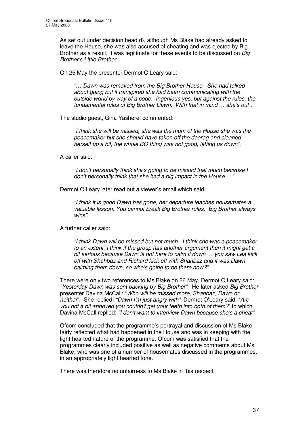As set out under decision head d), although Ms Blake had already asked to leave the House, she was also accused of cheating and was ejected by Big Brother as a result. It was legitimate for these events to be discussed on *Big Brother's Little Brother*.

On 25 May the presenter Dermot O'Leary said:

*"… Dawn was removed from the Big Brother House. She had talked about going but it transpired she had been communicating with the outside world by way of a code. Ingenious yes, but against the rules, the fundamental rules of Big Brother Dawn. With that in mind … she's out".*

The studio guest, Gina Yashere, commented:

*"I think she will be missed, she was the mum of the House she was the peacemaker but she should have taken off the doorag and cleaned herself up a bit, the whole BO thing was not good, letting us down".*

A caller said:

*"I don't personally think she's going to be missed that much because I don't personally think that she had a big impact in the House …"*

Dermot O'Leary later read out a viewer's email which said:

*"I think it is good Dawn has gone, her departure teaches housemates a valuable lesson. You cannot break Big Brother rules. Big Brother always wins".*

A further caller said:

*"I think Dawn will be missed but not much. I think she was a peacemaker to an extent. I think if the group has another argument then it might get a bit serious because Dawn is not here to calm it down … you saw Lea kick off with Shahbaz and Richard kick off with Shahbaz and it was Dawn calming them down, so who's going to be there now?"*

There were only two references to Ms Blake on 26 May. Dermot O'Leary said: *"Yesterday Dawn was sent packing by Big Brother".* He later asked *Big Brother* presenter Davina McCall: "*Who will be missed more, Shahbaz, Dawn or neither*". She replied: *"Dawn I'm just angry with"*. Dermot O'Leary said: "*Are you not a bit annoyed you couldn't get your teeth into both of them?*" to which Davina McCall replied: *"I don't want to interview Dawn because she's a cheat"*.

Ofcom concluded that the programme's portrayal and discussion of Ms Blake fairly reflected what had happened in the House and was in keeping with the light hearted nature of the programme. Ofcom was satisfied that the programmes clearly included positive as well as negative comments about Ms Blake, who was one of a number of housemates discussed in the programmes, in an appropriately light hearted tone.

There was therefore no unfairness to Ms Blake in this respect.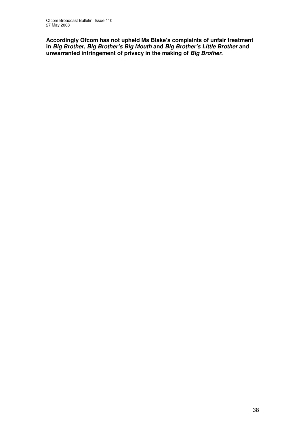**Accordingly Ofcom has not upheld Ms Blake's complaints of unfair treatment in** *Big Brother***,** *Big Brother's Big Mouth* **and** *Big Brother's Little Brother* **and unwarranted infringement of privacy in the making of** *Big Brother***.**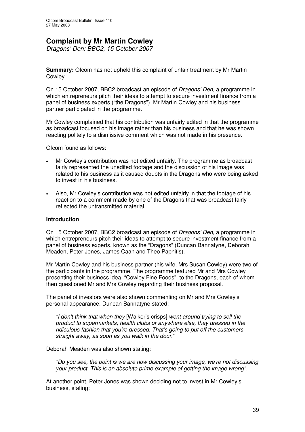## **Complaint by Mr Martin Cowley**

*Dragons' Den: BBC2, 15 October 2007*

**Summary:** Ofcom has not upheld this complaint of unfair treatment by Mr Martin Cowley.

On 15 October 2007, BBC2 broadcast an episode of *Dragons' Den*, a programme in which entrepreneurs pitch their ideas to attempt to secure investment finance from a panel of business experts ("the Dragons"). Mr Martin Cowley and his business partner participated in the programme.

Mr Cowley complained that his contribution was unfairly edited in that the programme as broadcast focused on his image rather than his business and that he was shown reacting politely to a dismissive comment which was not made in his presence.

Ofcom found as follows:

- Mr Cowley's contribution was not edited unfairly. The programme as broadcast fairly represented the unedited footage and the discussion of his image was related to his business as it caused doubts in the Dragons who were being asked to invest in his business.
- Also, Mr Cowley's contribution was not edited unfairly in that the footage of his reaction to a comment made by one of the Dragons that was broadcast fairly reflected the untransmitted material.

#### **Introduction**

On 15 October 2007, BBC2 broadcast an episode of *Dragons' Den*, a programme in which entrepreneurs pitch their ideas to attempt to secure investment finance from a panel of business experts, known as the "Dragons" (Duncan Bannatyne, Deborah Meaden, Peter Jones, James Caan and Theo Paphitis).

Mr Martin Cowley and his business partner (his wife, Mrs Susan Cowley) were two of the participants in the programme. The programme featured Mr and Mrs Cowley presenting their business idea, "Cowley Fine Foods", to the Dragons, each of whom then questioned Mr and Mrs Cowley regarding their business proposal.

The panel of investors were also shown commenting on Mr and Mrs Cowley's personal appearance. Duncan Bannatyne stated:

*"I don't think that when they* [Walker's crisps] *went around trying to sell the product to supermarkets, health clubs or anywhere else, they dressed in the ridiculous fashion that you're dressed. That's going to put off the customers straight away, as soon as you walk in the door.*"

Deborah Meaden was also shown stating:

*"Do you see, the point is we are now discussing your image, we're not discussing your product. This is an absolute prime example of getting the image wrong"*.

At another point, Peter Jones was shown deciding not to invest in Mr Cowley's business, stating: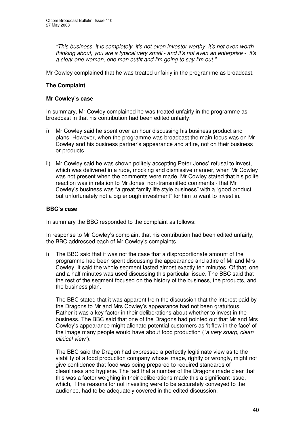*"This business, it is completely, it's not even investor worthy, it's not even worth thinking about, you are a typical very small - and it's not even an enterprise - it's a clear one woman, one man outfit and I'm going to say I'm out."*

Mr Cowley complained that he was treated unfairly in the programme as broadcast.

#### **The Complaint**

#### **Mr Cowley's case**

In summary, Mr Cowley complained he was treated unfairly in the programme as broadcast in that his contribution had been edited unfairly:

- i) Mr Cowley said he spent over an hour discussing his business product and plans. However, when the programme was broadcast the main focus was on Mr Cowley and his business partner's appearance and attire, not on their business or products.
- ii) Mr Cowley said he was shown politely accepting Peter Jones' refusal to invest, which was delivered in a rude, mocking and dismissive manner, when Mr Cowley was not present when the comments were made. Mr Cowley stated that his polite reaction was in relation to Mr Jones' non-transmitted comments - that Mr Cowley's business was "a great family life style business" with a "good product but unfortunately not a big enough investment" for him to want to invest in.

#### **BBC's case**

In summary the BBC responded to the complaint as follows:

In response to Mr Cowley's complaint that his contribution had been edited unfairly, the BBC addressed each of Mr Cowley's complaints.

i) The BBC said that it was not the case that a disproportionate amount of the programme had been spent discussing the appearance and attire of Mr and Mrs Cowley. It said the whole segment lasted almost exactly ten minutes. Of that, one and a half minutes was used discussing this particular issue. The BBC said that the rest of the segment focused on the history of the business, the products, and the business plan.

The BBC stated that it was apparent from the discussion that the interest paid by the Dragons to Mr and Mrs Cowley's appearance had not been gratuitous. Rather it was a key factor in their deliberations about whether to invest in the business. The BBC said that one of the Dragons had pointed out that Mr and Mrs Cowley's appearance might alienate potential customers as 'it flew in the face' of the image many people would have about food production (*"a very sharp, clean clinical view"*).

The BBC said the Dragon had expressed a perfectly legitimate view as to the viability of a food production company whose image, rightly or wrongly, might not give confidence that food was being prepared to required standards of cleanliness and hygiene. The fact that a number of the Dragons made clear that this was a factor weighing in their deliberations made this a significant issue, which, if the reasons for not investing were to be accurately conveyed to the audience, had to be adequately covered in the edited discussion.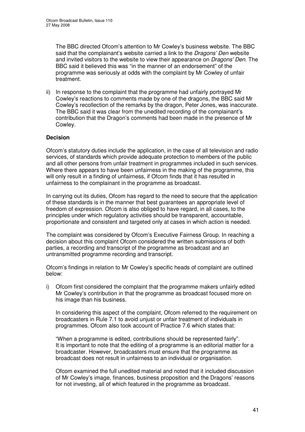The BBC directed Ofcom's attention to Mr Cowley's business website. The BBC said that the complainant's website carried a link to the *Dragons' Den* website and invited visitors to the website to view their appearance on *Dragons'Den*. The BBC said it believed this was "in the manner of an endorsement" of the programme was seriously at odds with the complaint by Mr Cowley of unfair treatment.

ii) In response to the complaint that the programme had unfairly portrayed Mr Cowley's reactions to comments made by one of the dragons, the BBC said Mr Cowley's recollection of the remarks by the dragon, Peter Jones, was inaccurate. The BBC said it was clear from the unedited recording of the complainant's contribution that the Dragon's comments had been made in the presence of Mr Cowley.

#### **Decision**

Ofcom's statutory duties include the application, in the case of all television and radio services, of standards which provide adequate protection to members of the public and all other persons from unfair treatment in programmes included in such services. Where there appears to have been unfairness in the making of the programme, this will only result in a finding of unfairness, if Ofcom finds that it has resulted in unfairness to the complainant in the programme as broadcast.

In carrying out its duties, Ofcom has regard to the need to secure that the application of these standards is in the manner that best guarantees an appropriate level of freedom of expression. Ofcom is also obliged to have regard, in all cases, to the principles under which regulatory activities should be transparent, accountable, proportionate and consistent and targeted only at cases in which action is needed.

The complaint was considered by Ofcom's Executive Fairness Group. In reaching a decision about this complaint Ofcom considered the written submissions of both parties, a recording and transcript of the programme as broadcast and an untransmitted programme recording and transcript.

Ofcom's findings in relation to Mr Cowley's specific heads of complaint are outlined below:

i) Ofcom first considered the complaint that the programme makers unfairly edited Mr Cowley's contribution in that the programme as broadcast focused more on his image than his business.

In considering this aspect of the complaint, Ofcom referred to the requirement on broadcasters in Rule 7.1 to avoid unjust or unfair treatment of individuals in programmes. Ofcom also took account of Practice 7.6 which states that:

"When a programme is edited, contributions should be represented fairly". It is important to note that the editing of a programme is an editorial matter for a broadcaster. However, broadcasters must ensure that the programme as broadcast does not result in unfairness to an individual or organisation.

Ofcom examined the full unedited material and noted that it included discussion of Mr Cowley's image, finances, business proposition and the Dragons' reasons for not investing, all of which featured in the programme as broadcast.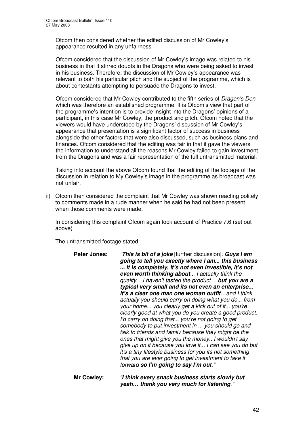Ofcom then considered whether the edited discussion of Mr Cowley's appearance resulted in any unfairness.

Ofcom considered that the discussion of Mr Cowley's image was related to his business in that it stirred doubts in the Dragons who were being asked to invest in his business. Therefore, the discussion of Mr Cowley's appearance was relevant to both his particular pitch and the subject of the programme, which is about contestants attempting to persuade the Dragons to invest.

Ofcom considered that Mr Cowley contributed to the fifth series of *Dragon's Den* which was therefore an established programme. It is Ofcom's view that part of the programme's intention is to provide insight into the Dragons' opinions of a participant, in this case Mr Cowley, the product and pitch. Ofcom noted that the viewers would have understood by the Dragons' discussion of Mr Cowley's appearance that presentation is a significant factor of success in business alongside the other factors that were also discussed, such as business plans and finances. Ofcom considered that the editing was fair in that it gave the viewers the information to understand all the reasons Mr Cowley failed to gain investment from the Dragons and was a fair representation of the full untransmitted material.

Taking into account the above Ofcom found that the editing of the footage of the discussion in relation to My Cowley's image in the programme as broadcast was not unfair.

ii) Ofcom then considered the complaint that Mr Cowley was shown reacting politely to comments made in a rude manner when he said he had not been present when those comments were made.

In considering this complaint Ofcom again took account of Practice 7.6 (set out above)

The untransmitted footage stated:

| it's a tiny lifestyle business for you its not something<br>that you are ever going to get investment to take it<br>forward so I'm going to say I'm out." |
|-----------------------------------------------------------------------------------------------------------------------------------------------------------|
|-----------------------------------------------------------------------------------------------------------------------------------------------------------|

**Mr Cowley:** *"I think every snack business starts slowly but yeah… thank you very much for listening."*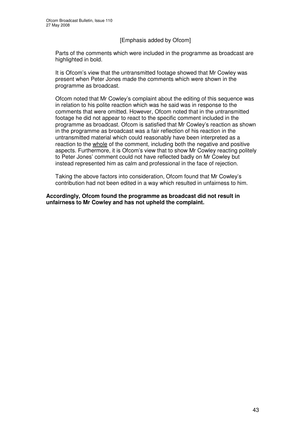#### [Emphasis added by Ofcom]

Parts of the comments which were included in the programme as broadcast are highlighted in bold.

It is Ofcom's view that the untransmitted footage showed that Mr Cowley was present when Peter Jones made the comments which were shown in the programme as broadcast.

Ofcom noted that Mr Cowley's complaint about the editing of this sequence was in relation to his polite reaction which was he said was in response to the comments that were omitted. However, Ofcom noted that in the untransmitted footage he did not appear to react to the specific comment included in the programme as broadcast. Ofcom is satisfied that Mr Cowley's reaction as shown in the programme as broadcast was a fair reflection of his reaction in the untransmitted material which could reasonably have been interpreted as a reaction to the whole of the comment, including both the negative and positive aspects. Furthermore, it is Ofcom's view that to show Mr Cowley reacting politely to Peter Jones' comment could not have reflected badly on Mr Cowley but instead represented him as calm and professional in the face of rejection.

Taking the above factors into consideration, Ofcom found that Mr Cowley's contribution had not been edited in a way which resulted in unfairness to him.

**Accordingly, Ofcom found the programme as broadcast did not result in unfairness to Mr Cowley and has not upheld the complaint.**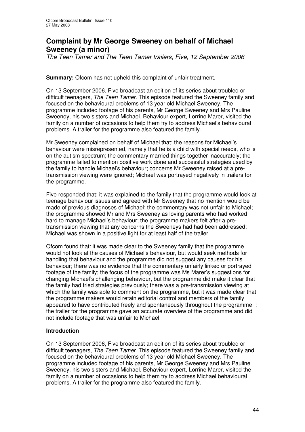## **Complaint by Mr George Sweeney on behalf of Michael Sweeney (a minor)**

*The Teen Tamer and The Teen Tamer trailers, Five, 12 September 2006*

**Summary:** Ofcom has not upheld this complaint of unfair treatment.

On 13 September 2006, Five broadcast an edition of its series about troubled or difficult teenagers, *The Teen Tamer*. This episode featured the Sweeney family and focused on the behavioural problems of 13 year old Michael Sweeney. The programme included footage of his parents, Mr George Sweeney and Mrs Pauline Sweeney, his two sisters and Michael. Behaviour expert, Lorrine Marer, visited the family on a number of occasions to help them try to address Michael's behavioural problems. A trailer for the programme also featured the family.

Mr Sweeney complained on behalf of Michael that: the reasons for Michael's behaviour were misrepresented, namely that he is a child with special needs, who is on the autism spectrum; the commentary married things together inaccurately; the programme failed to mention positive work done and successful strategies used by the family to handle Michael's behaviour; concerns Mr Sweeney raised at a pretransmission viewing were ignored; Michael was portrayed negatively in trailers for the programme.

Five responded that: it was explained to the family that the programme would look at teenage behaviour issues and agreed with Mr Sweeney that no mention would be made of previous diagnoses of Michael; the commentary was not unfair to Michael; the programme showed Mr and Mrs Sweeney as loving parents who had worked hard to manage Michael's behaviour; the programme makers felt after a pretransmission viewing that any concerns the Sweeneys had had been addressed; Michael was shown in a positive light for at least half of the trailer.

Ofcom found that: it was made clear to the Sweeney family that the programme would not look at the causes of Michael's behaviour, but would seek methods for handling that behaviour and the programme did not suggest any causes for his behaviour; there was no evidence that the commentary unfairly linked or portrayed footage of the family; the focus of the programme was Ms Marer's suggestions for changing Michael's challenging behaviour, but the programme did make it clear that the family had tried strategies previously; there was a pre-transmission viewing at which the family was able to comment on the programme, but it was made clear that the programme makers would retain editorial control and members of the family appeared to have contributed freely and spontaneously throughout the programme ; the trailer for the programme gave an accurate overview of the programme and did not include footage that was unfair to Michael.

#### **Introduction**

On 13 September 2006, Five broadcast an edition of its series about troubled or difficult teenagers, *The Teen Tamer*. This episode featured the Sweeney family and focused on the behavioural problems of 13 year old Michael Sweeney. The programme included footage of his parents, Mr George Sweeney and Mrs Pauline Sweeney, his two sisters and Michael. Behaviour expert, Lorrine Marer, visited the family on a number of occasions to help them try to address Michael behavioural problems. A trailer for the programme also featured the family.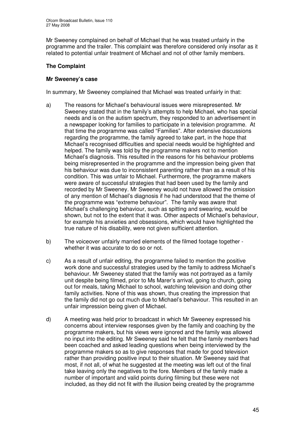Mr Sweeney complained on behalf of Michael that he was treated unfairly in the programme and the trailer. This complaint was therefore considered only insofar as it related to potential unfair treatment of Michael and not of other family members.

#### **The Complaint**

#### **Mr Sweeney's case**

In summary, Mr Sweeney complained that Michael was treated unfairly in that:

- a) The reasons for Michael's behavioural issues were misrepresented. Mr Sweeney stated that in the family's attempts to help Michael, who has special needs and is on the autism spectrum, they responded to an advertisement in a newspaper looking for families to participate in a television programme. At that time the programme was called "Families". After extensive discussions regarding the programme, the family agreed to take part, in the hope that Michael's recognised difficulties and special needs would be highlighted and helped. The family was told by the programme makers not to mention Michael's diagnosis. This resulted in the reasons for his behaviour problems being misrepresented in the programme and the impression being given that his behaviour was due to inconsistent parenting rather than as a result of his condition. This was unfair to Michael. Furthermore, the programme makers were aware of successful strategies that had been used by the family and recorded by Mr Sweeney. Mr Sweeney would not have allowed the omission of any mention of Michael's diagnosis if he had understood that the theme of the programme was "extreme behaviour". The family was aware that Michael's challenging behaviour, such as spitting and swearing, would be shown, but not to the extent that it was. Other aspects of Michael's behaviour, for example his anxieties and obsessions, which would have highlighted the true nature of his disability, were not given sufficient attention.
- b) The voiceover unfairly married elements of the filmed footage together whether it was accurate to do so or not.
- c) As a result of unfair editing, the programme failed to mention the positive work done and successful strategies used by the family to address Michael's behaviour. Mr Sweeney stated that the family was not portrayed as a family unit despite being filmed, prior to Ms Marer's arrival, going to church, going out for meals, taking Michael to school, watching television and doing other family activities. None of this was shown, thus creating the impression that the family did not go out much due to Michael's behaviour. This resulted in an unfair impression being given of Michael.
- d) A meeting was held prior to broadcast in which Mr Sweeney expressed his concerns about interview responses given by the family and coaching by the programme makers, but his views were ignored and the family was allowed no input into the editing. Mr Sweeney said he felt that the family members had been coached and asked leading questions when being interviewed by the programme makers so as to give responses that made for good television rather than providing positive input to their situation. Mr Sweeney said that most, if not all, of what he suggested at the meeting was left out of the final take leaving only the negatives to the fore. Members of the family made a number of important and valid points during filming but these were not included, as they did not fit with the illusion being created by the programme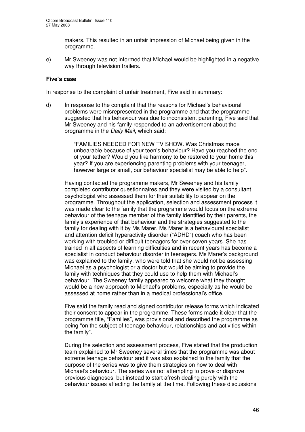makers. This resulted in an unfair impression of Michael being given in the programme.

e) Mr Sweeney was not informed that Michael would be highlighted in a negative way through television trailers.

#### **Five's case**

In response to the complaint of unfair treatment, Five said in summary:

d) In response to the complaint that the reasons for Michael's behavioural problems were misrepresented in the programme and that the programme suggested that his behaviour was due to inconsistent parenting, Five said that Mr Sweeney and his family responded to an advertisement about the programme in the *Daily Mail*, which said:

> "FAMILIES NEEDED FOR NEW TV SHOW. Was Christmas made unbearable because of your teen's behaviour? Have you reached the end of your tether? Would you like harmony to be restored to your home this year? If you are experiencing parenting problems with your teenager, however large or small, our behaviour specialist may be able to help".

Having contacted the programme makers, Mr Sweeney and his family completed contributor questionnaires and they were visited by a consultant psychologist who assessed them for their suitability to appear on the programme. Throughout the application, selection and assessment process it was made clear to the family that the programme would focus on the extreme behaviour of the teenage member of the family identified by their parents, the family's experience of that behaviour and the strategies suggested to the family for dealing with it by Ms Marer. Ms Marer is a behavioural specialist and attention deficit hyperactivity disorder ("ADHD") coach who has been working with troubled or difficult teenagers for over seven years. She has trained in all aspects of learning difficulties and in recent years has become a specialist in conduct behaviour disorder in teenagers. Ms Marer's background was explained to the family, who were told that she would not be assessing Michael as a psychologist or a doctor but would be aiming to provide the family with techniques that they could use to help them with Michael's behaviour. The Sweeney family appeared to welcome what they thought would be a new approach to Michael's problems, especially as he would be assessed at home rather than in a medical professional's office.

Five said the family read and signed contributor release forms which indicated their consent to appear in the programme. These forms made it clear that the programme title, "Families", was provisional and described the programme as being "on the subject of teenage behaviour, relationships and activities within the family".

During the selection and assessment process, Five stated that the production team explained to Mr Sweeney several times that the programme was about extreme teenage behaviour and it was also explained to the family that the purpose of the series was to give them strategies on how to deal with Michael's behaviour. The series was not attempting to prove or disprove previous diagnoses, but instead to start afresh dealing purely with the behaviour issues affecting the family at the time. Following these discussions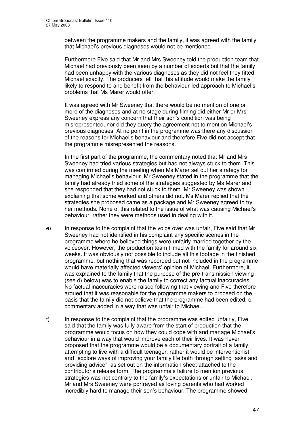between the programme makers and the family, it was agreed with the family that Michael's previous diagnoses would not be mentioned.

Furthermore Five said that Mr and Mrs Sweeney told the production team that Michael had previously been seen by a number of experts but that the family had been unhappy with the various diagnoses as they did not feel they fitted Michael exactly. The producers felt that this attitude would make the family likely to respond to and benefit from the behaviour-led approach to Michael's problems that Ms Marer would offer.

It was agreed with Mr Sweeney that there would be no mention of one or more of the diagnoses and at no stage during filming did either Mr or Mrs Sweeney express any concern that their son's condition was being misrepresented, nor did they query the agreement not to mention Michael's previous diagnoses. At no point in the programme was there any discussion of the reasons for Michael's behaviour and therefore Five did not accept that the programme misrepresented the reasons.

In the first part of the programme, the commentary noted that Mr and Mrs Sweeney had tried various strategies but had not always stuck to them. This was confirmed during the meeting when Ms Marer set out her strategy for managing Michael's behaviour. Mr Sweeney stated in the programme that the family had already tried some of the strategies suggested by Ms Marer and she responded that they had not stuck to them. Mr Sweeney was shown explaining that some worked and others did not. Ms Marer replied that the strategies she proposed came as a package and Mr Sweeney agreed to try her methods. None of this related to the issue of what was causing Michael's behaviour, rather they were methods used in dealing with it.

- e) In response to the complaint that the voice over was unfair, Five said that Mr Sweeney had not identified in his complaint any specific scenes in the programme where he believed things were unfairly married together by the voiceover. However, the production team filmed with the family for around six weeks. It was obviously not possible to include all this footage in the finished programme, but nothing that was recorded but not included in the programme would have materially affected viewers' opinion of Michael. Furthermore, it was explained to the family that the purpose of the pre-transmission viewing (see d) below) was to enable the family to correct any factual inaccuracies. No factual inaccuracies were raised following that viewing and Five therefore argued that it was reasonable for the programme makers to proceed on the basis that the family did not believe that the programme had been edited, or commentary added in a way that was unfair to Michael.
- f) In response to the complaint that the programme was edited unfairly, Five said that the family was fully aware from the start of production that the programme would focus on how they could cope with and manage Michael's behaviour in a way that would improve each of their lives. It was never proposed that the programme would be a documentary portrait of a family attempting to live with a difficult teenager, rather it would be interventionist and "explore ways of improving your family life both through setting tasks and providing advice", as set out on the information sheet attached to the contributor's release form. The programme's failure to mention previous strategies was not contrary to the family's expectations or unfair to Michael. Mr and Mrs Sweeney were portrayed as loving parents who had worked incredibly hard to manage their son's behaviour. The programme showed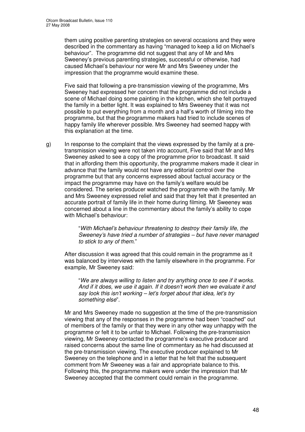them using positive parenting strategies on several occasions and they were described in the commentary as having "managed to keep a lid on Michael's behaviour". The programme did not suggest that any of Mr and Mrs Sweeney's previous parenting strategies, successful or otherwise, had caused Michael's behaviour nor were Mr and Mrs Sweeney under the impression that the programme would examine these.

Five said that following a pre-transmission viewing of the programme, Mrs Sweeney had expressed her concern that the programme did not include a scene of Michael doing some painting in the kitchen, which she felt portrayed the family in a better light. It was explained to Mrs Sweeney that it was not possible to put everything from a month and a half's worth of filming into the programme, but that the programme makers had tried to include scenes of happy family life wherever possible. Mrs Sweeney had seemed happy with this explanation at the time.

g) In response to the complaint that the views expressed by the family at a pretransmission viewing were not taken into account, Five said that Mr and Mrs Sweeney asked to see a copy of the programme prior to broadcast. It said that in affording them this opportunity, the programme makers made it clear in advance that the family would not have any editorial control over the programme but that any concerns expressed about factual accuracy or the impact the programme may have on the family's welfare would be considered. The series producer watched the programme with the family. Mr and Mrs Sweeney expressed relief and said that they felt that it presented an accurate portrait of family life in their home during filming. Mr Sweeney was concerned about a line in the commentary about the family's ability to cope with Michael's behaviour:

> "*With Michael's behaviour threatening to destroy their family life, the Sweeney's have tried a number of strategies – but have never managed to stick to any of them*."

After discussion it was agreed that this could remain in the programme as it was balanced by interviews with the family elsewhere in the programme. For example, Mr Sweeney said:

"*We are always willing to listen and try anything once to see if it works. And if it does, we use it again. If it doesn't work then we evaluate it and say look this isn't working – let's forget about that idea, let's try something else*".

Mr and Mrs Sweeney made no suggestion at the time of the pre-transmission viewing that any of the responses in the programme had been "coached" out of members of the family or that they were in any other way unhappy with the programme or felt it to be unfair to Michael. Following the pre-transmission viewing, Mr Sweeney contacted the programme's executive producer and raised concerns about the same line of commentary as he had discussed at the pre-transmission viewing. The executive producer explained to Mr Sweeney on the telephone and in a letter that he felt that the subsequent comment from Mr Sweeney was a fair and appropriate balance to this. Following this, the programme makers were under the impression that Mr Sweeney accepted that the comment could remain in the programme.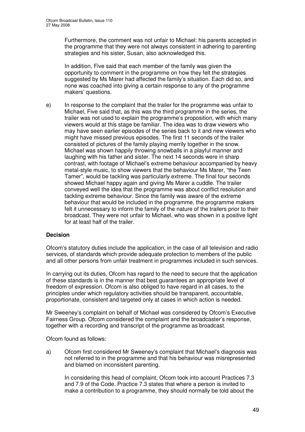Furthermore, the comment was not unfair to Michael: his parents accepted in the programme that they were not always consistent in adhering to parenting strategies and his sister, Susan, also acknowledged this.

In addition, Five said that each member of the family was given the opportunity to comment in the programme on how they felt the strategies suggested by Ms Marer had affected the family's situation. Each did so, and none was coached into giving a certain response to any of the programme makers' questions.

e) In response to the complaint that the trailer for the programme was unfair to Michael, Five said that, as this was the third programme in the series, the trailer was not used to explain the programme's proposition, with which many viewers would at this stage be familiar. The idea was to draw viewers who may have seen earlier episodes of the series back to it and new viewers who might have missed previous episodes. The first 11 seconds of the trailer consisted of pictures of the family playing merrily together in the snow. Michael was shown happily throwing snowballs in a playful manner and laughing with his father and sister. The next 14 seconds were in sharp contrast, with footage of Michael's extreme behaviour accompanied by heavy metal-style music, to show viewers that the behaviour Ms Marer, "the Teen Tamer", would be tackling was particularly extreme. The final four seconds showed Michael happy again and giving Ms Marer a cuddle. The trailer conveyed well the idea that the programme was about conflict resolution and tackling extreme behaviour. Since the family was aware of the extreme behaviour that would be included in the programme, the programme makers felt it unnecessary to inform the family of the nature of the trailers prior to their broadcast. They were not unfair to Michael, who was shown in a positive light for at least half of the trailer.

#### **Decision**

Ofcom's statutory duties include the application, in the case of all television and radio services, of standards which provide adequate protection to members of the public and all other persons from unfair treatment in programmes included in such services.

In carrying out its duties, Ofcom has regard to the need to secure that the application of these standards is in the manner that best guarantees an appropriate level of freedom of expression. Ofcom is also obliged to have regard in all cases, to the principles under which regulatory activities should be transparent, accountable, proportionate, consistent and targeted only at cases in which action is needed.

Mr Sweeney's complaint on behalf of Michael was considered by Ofcom's Executive Fairness Group. Ofcom considered the complaint and the broadcaster's response, together with a recording and transcript of the programme as broadcast.

Ofcom found as follows:

a) Ofcom first considered Mr Sweeney's complaint that Michael's diagnosis was not referred to in the programme and that his behaviour was misrepresented and blamed on inconsistent parenting.

In considering this head of complaint, Ofcom took into account Practices 7.3 and 7.9 of the Code. Practice 7.3 states that where a person is invited to make a contribution to a programme, they should normally be told about the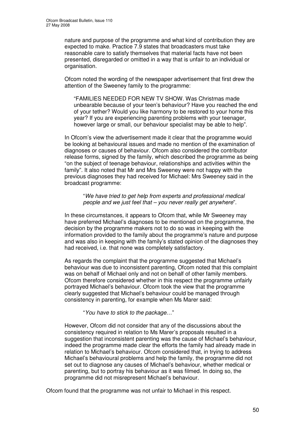nature and purpose of the programme and what kind of contribution they are expected to make. Practice 7.9 states that broadcasters must take reasonable care to satisfy themselves that material facts have not been presented, disregarded or omitted in a way that is unfair to an individual or organisation.

Ofcom noted the wording of the newspaper advertisement that first drew the attention of the Sweeney family to the programme:

"FAMILIES NEEDED FOR NEW TV SHOW. Was Christmas made unbearable because of your teen's behaviour? Have you reached the end of your tether? Would you like harmony to be restored to your home this year? If you are experiencing parenting problems with your teenager, however large or small, our behaviour specialist may be able to help".

In Ofcom's view the advertisement made it clear that the programme would be looking at behavioural issues and made no mention of the examination of diagnoses or causes of behaviour. Ofcom also considered the contributor release forms, signed by the family, which described the programme as being "on the subject of teenage behaviour, relationships and activities within the family". It also noted that Mr and Mrs Sweeney were not happy with the previous diagnoses they had received for Michael: Mrs Sweeney said in the broadcast programme:

"*We have tried to get help from experts and professional medical people and we just feel that – you never really get anywhere*".

In these circumstances, it appears to Ofcom that, while Mr Sweeney may have preferred Michael's diagnoses to be mentioned on the programme, the decision by the programme makers not to do so was in keeping with the information provided to the family about the programme's nature and purpose and was also in keeping with the family's stated opinion of the diagnoses they had received, i.e. that none was completely satisfactory.

As regards the complaint that the programme suggested that Michael's behaviour was due to inconsistent parenting, Ofcom noted that this complaint was on behalf of Michael only and not on behalf of other family members. Ofcom therefore considered whether in this respect the programme unfairly portrayed Michael's behaviour. Ofcom took the view that the programme clearly suggested that Michael's behaviour could be managed through consistency in parenting, for example when Ms Marer said:

"*You have to stick to the package*…"

However, Ofcom did not consider that any of the discussions about the consistency required in relation to Ms Marer's proposals resulted in a suggestion that inconsistent parenting was the cause of Michael's behaviour, indeed the programme made clear the efforts the family had already made in relation to Michael's behaviour. Ofcom considered that, in trying to address Michael's behavioural problems and help the family, the programme did not set out to diagnose any causes of Michael's behaviour, whether medical or parenting, but to portray his behaviour as it was filmed. In doing so, the programme did not misrepresent Michael's behaviour.

Ofcom found that the programme was not unfair to Michael in this respect.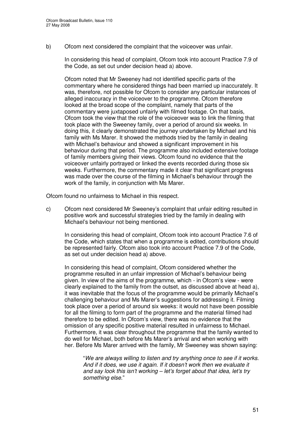b) Ofcom next considered the complaint that the voiceover was unfair.

In considering this head of complaint, Ofcom took into account Practice 7.9 of the Code, as set out under decision head a) above.

Ofcom noted that Mr Sweeney had not identified specific parts of the commentary where he considered things had been married up inaccurately. It was, therefore, not possible for Ofcom to consider any particular instances of alleged inaccuracy in the voiceover to the programme. Ofcom therefore looked at the broad scope of the complaint, namely that parts of the commentary were juxtaposed unfairly with filmed footage. On that basis, Ofcom took the view that the role of the voiceover was to link the filming that took place with the Sweeney family, over a period of around six weeks. In doing this, it clearly demonstrated the journey undertaken by Michael and his family with Ms Marer. It showed the methods tried by the family in dealing with Michael's behaviour and showed a significant improvement in his behaviour during that period. The programme also included extensive footage of family members giving their views. Ofcom found no evidence that the voiceover unfairly portrayed or linked the events recorded during those six weeks. Furthermore, the commentary made it clear that significant progress was made over the course of the filming in Michael's behaviour through the work of the family, in conjunction with Ms Marer.

Ofcom found no unfairness to Michael in this respect.

c) Ofcom next considered Mr Sweeney's complaint that unfair editing resulted in positive work and successful strategies tried by the family in dealing with Michael's behaviour not being mentioned.

In considering this head of complaint, Ofcom took into account Practice 7.6 of the Code, which states that when a programme is edited, contributions should be represented fairly. Ofcom also took into account Practice 7.9 of the Code, as set out under decision head a) above.

In considering this head of complaint, Ofcom considered whether the programme resulted in an unfair impression of Michael's behaviour being given. In view of the aims of the programme, which - in Ofcom's view - were clearly explained to the family from the outset, as discussed above at head a), it was inevitable that the focus of the programme would be primarily Michael's challenging behaviour and Ms Marer's suggestions for addressing it. Filming took place over a period of around six weeks: it would not have been possible for all the filming to form part of the programme and the material filmed had therefore to be edited. In Ofcom's view, there was no evidence that the omission of any specific positive material resulted in unfairness to Michael. Furthermore, it was clear throughout the programme that the family wanted to do well for Michael, both before Ms Marer's arrival and when working with her. Before Ms Marer arrived with the family, Mr Sweeney was shown saying:

"*We are always willing to listen and try anything once to see if it works. And if it does, we use it again. If it doesn't work then we evaluate it and say look this isn't working – let's forget about that idea, let's try something else*."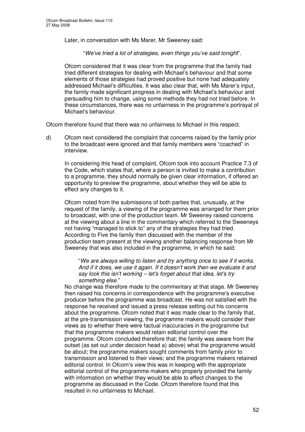Later, in conversation with Ms Marer, Mr Sweeney said:

"*We've tried a lot of strategies, even things you've said tonight*".

Ofcom considered that it was clear from the programme that the family had tried different strategies for dealing with Michael's behaviour and that some elements of those strategies had proved positive but none had adequately addressed Michael's difficulties. It was also clear that, with Ms Marer's input, the family made significant progress in dealing with Michael's behaviour and persuading him to change, using some methods they had not tried before. In these circumstances, there was no unfairness in the programme's portrayal of Michael's behaviour.

Ofcom therefore found that there was no unfairness to Michael in this respect.

d) Ofcom next considered the complaint that concerns raised by the family prior to the broadcast were ignored and that family members were "coached" in interview.

In considering this head of complaint, Ofcom took into account Practice 7.3 of the Code, which states that, where a person is invited to make a contribution to a programme, they should normally be given clear information, if offered an opportunity to preview the programme, about whether they will be able to effect any changes to it.

Ofcom noted from the submissions of both parties that, unusually, at the request of the family, a viewing of the programme was arranged for them prior to broadcast, with one of the production team. Mr Sweeney raised concerns at the viewing about a line in the commentary which referred to the Sweeneys not having "managed to stick to" any of the strategies they had tried. According to Five the family then discussed with the member of the production team present at the viewing another balancing response from Mr Sweeney that was also included in the programme, in which he said:

"*We are always willing to listen and try anything once to see if it works. And if it does, we use it again. If it doesn't work then we evaluate it and say look this isn't working – let's forget about that idea, let's try something else*."

No change was therefore made to the commentary at that stage. Mr Sweeney then raised his concerns in correspondence with the programme's executive producer before the programme was broadcast. He was not satisfied with the response he received and issued a press release setting out his concerns about the programme. Ofcom noted that it was made clear to the family that, at the pre-transmission viewing, the programme makers would consider their views as to whether there were factual inaccuracies in the programme but that the programme makers would retain editorial control over the programme. Ofcom concluded therefore that; the family was aware from the outset (as set out under decision head a) above) what the programme would be about; the programme makers sought comments from family prior to transmission and listened to their views; and the programme makers retained editorial control. In Ofcom's view this was in keeping with the appropriate editorial control of the programme makers who properly provided the family with information on whether they would be able to effect changes to the programme as discussed in the Code. Ofcom therefore found that this resulted in no unfairness to Michael.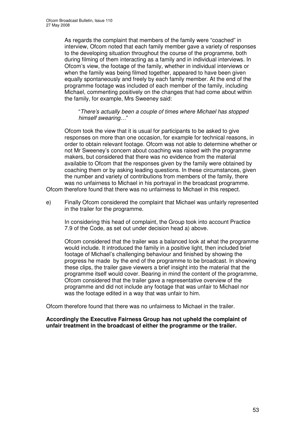As regards the complaint that members of the family were "coached" in interview, Ofcom noted that each family member gave a variety of responses to the developing situation throughout the course of the programme, both during filming of them interacting as a family and in individual interviews. In Ofcom's view, the footage of the family, whether in individual interviews or when the family was being filmed together, appeared to have been given equally spontaneously and freely by each family member. At the end of the programme footage was included of each member of the family, including Michael, commenting positively on the changes that had come about within the family, for example, Mrs Sweeney said:

"*There's actually been a couple of times where Michael has stopped himself swearing*…"

Ofcom took the view that it is usual for participants to be asked to give responses on more than one occasion, for example for technical reasons, in order to obtain relevant footage. Ofcom was not able to determine whether or not Mr Sweeney's concern about coaching was raised with the programme makers, but considered that there was no evidence from the material available to Ofcom that the responses given by the family were obtained by coaching them or by asking leading questions. In these circumstances, given the number and variety of contributions from members of the family, there was no unfairness to Michael in his portrayal in the broadcast programme. Ofcom therefore found that there was no unfairness to Michael in this respect.

e) Finally Ofcom considered the complaint that Michael was unfairly represented in the trailer for the programme.

In considering this head of complaint, the Group took into account Practice 7.9 of the Code, as set out under decision head a) above.

Ofcom considered that the trailer was a balanced look at what the programme would include. It introduced the family in a positive light, then included brief footage of Michael's challenging behaviour and finished by showing the progress he made by the end of the programme to be broadcast. In showing these clips, the trailer gave viewers a brief insight into the material that the programme itself would cover. Bearing in mind the content of the programme, Ofcom considered that the trailer gave a representative overview of the programme and did not include any footage that was unfair to Michael nor was the footage edited in a way that was unfair to him.

Ofcom therefore found that there was no unfairness to Michael in the trailer.

#### **Accordingly the Executive Fairness Group has not upheld the complaint of unfair treatment in the broadcast of either the programme or the trailer.**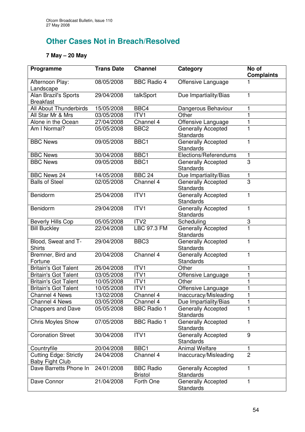# **Other Cases Not in Breach/Resolved**

### **7 May – 20 May**

| Programme                                               | <b>Trans Date</b> | <b>Channel</b>                     | <b>Category</b>                               | No of<br><b>Complaints</b> |
|---------------------------------------------------------|-------------------|------------------------------------|-----------------------------------------------|----------------------------|
| Afternoon Play:<br>Landscape                            | 08/05/2008        | <b>BBC Radio 4</b>                 | Offensive Language                            |                            |
| <b>Alan Brazil's Sports</b><br><b>Breakfast</b>         | 29/04/2008        | talkSport                          | Due Impartiality/Bias                         |                            |
| All About Thunderbirds                                  | 15/05/2008        | BBC4                               | Dangerous Behaviour                           | 1                          |
| All Star Mr & Mrs                                       | 03/05/2008        | ITV1                               | Other                                         | 1                          |
| Alone in the Ocean                                      | 27/04/2008        | Channel 4                          | Offensive Language                            |                            |
| Am I Normal?                                            | 05/05/2008        | BBC <sub>2</sub>                   | <b>Generally Accepted</b><br><b>Standards</b> |                            |
| <b>BBC News</b>                                         | 09/05/2008        | BBC1                               | <b>Generally Accepted</b><br><b>Standards</b> | 1                          |
| <b>BBC News</b>                                         | 30/04/2008        | BBC1                               | Elections/Referendums                         | 1                          |
| <b>BBC News</b>                                         | 09/05/2008        | BBC1                               | <b>Generally Accepted</b><br><b>Standards</b> | 3                          |
| <b>BBC News 24</b>                                      | 14/05/2008        | <b>BBC 24</b>                      | Due Impartiality/Bias                         | 1                          |
| <b>Balls of Steel</b>                                   | 02/05/2008        | Channel 4                          | <b>Generally Accepted</b><br>Standards        | 3                          |
| Benidorm                                                | 25/04/2008        | ITV <sub>1</sub>                   | Generally Accepted<br><b>Standards</b>        | $\mathbf{1}$               |
| Benidorm                                                | 29/04/2008        | ITV1                               | Generally Accepted<br><b>Standards</b>        | 1                          |
| <b>Beverly Hills Cop</b>                                | 05/05/2008        | ITV <sub>2</sub>                   | Scheduling                                    | 3                          |
| <b>Bill Buckley</b>                                     | 22/04/2008        | <b>LBC 97.3 FM</b>                 | Generally Accepted<br><b>Standards</b>        |                            |
| Blood, Sweat and T-<br><b>Shirts</b>                    | 29/04/2008        | BBC <sub>3</sub>                   | Generally Accepted<br><b>Standards</b>        | 1                          |
| Bremner, Bird and<br>Fortune                            | 20/04/2008        | Channel 4                          | <b>Generally Accepted</b><br><b>Standards</b> | 1                          |
| <b>Britain's Got Talent</b>                             | 26/04/2008        | ITV <sub>1</sub>                   | Other                                         |                            |
| <b>Britain's Got Talent</b>                             | 03/05/2008        | ITV1                               | Offensive Language                            |                            |
| <b>Britain's Got Talent</b>                             | 10/05/2008        | ITV1                               | Other                                         |                            |
| <b>Britain's Got Talent</b>                             | 10/05/2008        | ITV1                               | Offensive Language                            |                            |
| <b>Channel 4 News</b>                                   | 13/02/2008        | Channel 4                          | Inaccuracy/Misleading                         |                            |
| <b>Channel 4 News</b>                                   | 03/05/2008        | Channel 4                          | Due Impartiality/Bias                         |                            |
| <b>Chappers and Dave</b>                                | 05/05/2008        | <b>BBC Radio 1</b>                 | <b>Generally Accepted</b><br><b>Standards</b> | 1                          |
| <b>Chris Moyles Show</b>                                | 07/05/2008        | <b>BBC Radio 1</b>                 | Generally Accepted<br><b>Standards</b>        |                            |
| <b>Coronation Street</b>                                | 30/04/2008        | ITV <sub>1</sub>                   | <b>Generally Accepted</b><br><b>Standards</b> | 9                          |
| Countryfile                                             | 20/04/2008        | BBC1                               | <b>Animal Welfare</b>                         | 1                          |
| <b>Cutting Edge: Strictly</b><br><b>Baby Fight Club</b> | 24/04/2008        | Channel 4                          | Inaccuracy/Misleading                         | $\overline{2}$             |
| Dave Barretts Phone In                                  | 24/01/2008        | <b>BBC Radio</b><br><b>Bristol</b> | <b>Generally Accepted</b><br><b>Standards</b> | 1                          |
| Dave Connor                                             | 21/04/2008        | Forth One                          | <b>Generally Accepted</b><br><b>Standards</b> | 1                          |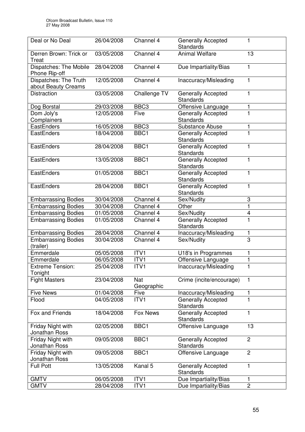| Deal or No Deal                              | 26/04/2008 | Channel 4         | Generally Accepted<br>Standards               |                |
|----------------------------------------------|------------|-------------------|-----------------------------------------------|----------------|
| Derren Brown: Trick or<br>Treat              | 03/05/2008 | Channel 4         | <b>Animal Welfare</b>                         | 13             |
| Dispatches: The Mobile<br>Phone Rip-off      | 28/04/2008 | Channel 4         | Due Impartiality/Bias                         | 1              |
| Dispatches: The Truth<br>about Beauty Creams | 12/05/2008 | Channel 4         | Inaccuracy/Misleading                         | 1              |
| <b>Distraction</b>                           | 03/05/2008 | Challenge TV      | <b>Generally Accepted</b><br><b>Standards</b> | 1              |
| Dog Borstal                                  | 29/03/2008 | BBC <sub>3</sub>  | Offensive Language                            |                |
| Dom Joly's                                   | 12/05/2008 | Five              | <b>Generally Accepted</b>                     |                |
| Complainers                                  |            |                   | <b>Standards</b>                              |                |
| EastEnders                                   | 16/05/2008 | BBC <sub>3</sub>  | <b>Substance Abuse</b>                        |                |
| EastEnders                                   | 18/04/2008 | BBC1              | <b>Generally Accepted</b><br><b>Standards</b> |                |
| EastEnders                                   | 28/04/2008 | BBC1              | <b>Generally Accepted</b><br>Standards        |                |
| EastEnders                                   | 13/05/2008 | BBC1              | <b>Generally Accepted</b><br>Standards        |                |
| EastEnders                                   | 01/05/2008 | BBC1              | Generally Accepted<br>Standards               | 1              |
| EastEnders                                   | 28/04/2008 | BBC1              | <b>Generally Accepted</b><br><b>Standards</b> | 1              |
| <b>Embarrassing Bodies</b>                   | 30/04/2008 | Channel 4         | Sex/Nudity                                    | 3              |
| <b>Embarrassing Bodies</b>                   | 30/04/2008 | Channel 4         | Other                                         | 1              |
| <b>Embarrassing Bodies</b>                   | 01/05/2008 | Channel 4         | Sex/Nudity                                    | 4              |
| <b>Embarrassing Bodies</b>                   | 01/05/2008 | Channel 4         | Generally Accepted<br><b>Standards</b>        |                |
| <b>Embarrassing Bodies</b>                   | 28/04/2008 | Channel 4         | Inaccuracy/Misleading                         |                |
| <b>Embarrassing Bodies</b><br>(trailer)      | 30/04/2008 | Channel 4         | Sex/Nudity                                    | 3              |
| Emmerdale                                    | 05/05/2008 | ITV1              | U18's in Programmes                           | 1              |
| Emmerdale                                    | 06/05/2008 | ITV1              | Offensive Language                            |                |
| <b>Extreme Tension:</b><br>Tonight           | 25/04/2008 | ITV1              | Inaccuracy/Misleading                         | 1              |
| <b>Fight Masters</b>                         | 23/04/2008 | Nat<br>Geographic | Crime (incite/encourage)                      |                |
| <b>Five News</b>                             | 01/04/2008 | Five              | Inaccuracy/Misleading                         | 1              |
| Flood                                        | 04/05/2008 | ITV1              | <b>Generally Accepted</b><br><b>Standards</b> |                |
| Fox and Friends                              | 18/04/2008 | Fox News          | <b>Generally Accepted</b><br><b>Standards</b> |                |
| Friday Night with<br>Jonathan Ross           | 02/05/2008 | BBC1              | Offensive Language                            | 13             |
| Friday Night with<br>Jonathan Ross           | 09/05/2008 | BBC1              | Generally Accepted<br>Standards               | $\overline{c}$ |
| Friday Night with<br>Jonathan Ross           | 09/05/2008 | BBC1              | Offensive Language                            | $\overline{2}$ |
| <b>Full Pott</b>                             | 13/05/2008 | Kanal 5           | <b>Generally Accepted</b><br><b>Standards</b> | 1              |
| <b>GMTV</b>                                  | 06/05/2008 | ITV1              | Due Impartiality/Bias                         | 1              |
| <b>GMTV</b>                                  | 28/04/2008 | ITV1              | Due Impartiality/Bias                         | $\overline{2}$ |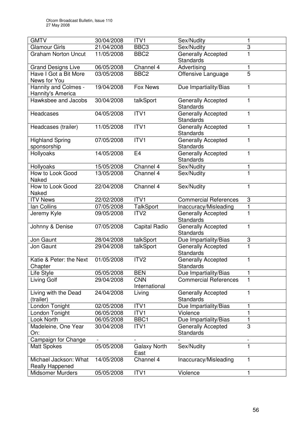| <b>GMTV</b>                               | 30/04/2008 | ITV <sub>1</sub>            | Sex/Nudity                                    | 1                         |
|-------------------------------------------|------------|-----------------------------|-----------------------------------------------|---------------------------|
| <b>Glamour Girls</b>                      | 21/04/2008 | BBC <sub>3</sub>            | Sex/Nudity                                    | $\ensuremath{\mathsf{3}}$ |
| <b>Graham Norton Uncut</b>                | 11/05/2008 | BBC <sub>2</sub>            | Generally Accepted<br>Standards               | 1                         |
| <b>Grand Designs Live</b>                 | 06/05/2008 | Channel 4                   | Advertising                                   | 1                         |
| Have I Got a Bit More<br>News for You     | 03/05/2008 | BBC <sub>2</sub>            | Offensive Language                            | $\overline{5}$            |
| Hannity and Colmes -<br>Hannity's America | 19/04/2008 | Fox News                    | Due Impartiality/Bias                         | 1                         |
| Hawksbee and Jacobs                       | 30/04/2008 | talkSport                   | <b>Generally Accepted</b><br>Standards        | 1                         |
| Headcases                                 | 04/05/2008 | ITVI                        | Generally Accepted<br><b>Standards</b>        | 1                         |
| Headcases (trailer)                       | 11/05/2008 | ITV1                        | Generally Accepted<br><b>Standards</b>        | 1                         |
| <b>Highland Spring</b><br>sponsorship     | 07/05/2008 | ITV1                        | Generally Accepted<br>Standards               | 1                         |
| Hollyoaks                                 | 14/05/2008 | E <sub>4</sub>              | <b>Generally Accepted</b><br>Standards        | 1                         |
| Hollyoaks                                 | 15/05/2008 | Channel 4                   | Sex/Nudity                                    | 1                         |
| How to Look Good<br>Naked                 | 13/05/2008 | Channel 4                   | Sex/Nudity                                    | $\overline{1}$            |
| How to Look Good<br>Naked                 | 22/04/2008 | Channel 4                   | Sex/Nudity                                    | 1                         |
| <b>ITV News</b>                           | 22/02/2008 | ITV1                        | <b>Commercial References</b>                  | 3                         |
| lan Collins                               | 07/05/2008 | <b>TalkSport</b>            | Inaccuracy/Misleading                         | 1                         |
| Jeremy Kyle                               | 09/05/2008 | ITV <sub>2</sub>            | <b>Generally Accepted</b><br>Standards        | $\overline{1}$            |
| Johnny & Denise                           | 07/05/2008 | Capital Radio               | Generally Accepted<br>Standards               | 1                         |
| Jon Gaunt                                 | 28/04/2008 | talkSport                   | Due Impartiality/Bias                         | 3                         |
| Jon Gaunt                                 | 29/04/2008 | talkSport                   | <b>Generally Accepted</b><br>Standards        | $\mathbf{1}$              |
| Katie & Peter: the Next<br>Chapter        | 01/05/2008 | ITV <sub>2</sub>            | Generally Accepted<br>Standards               | 1                         |
| Life Style                                | 05/05/2008 | <b>BEN</b>                  | Due Impartiality/Bias                         | 1                         |
| Living Golf                               | 29/04/2008 | <b>CNN</b><br>International | <b>Commercial References</b>                  | 1                         |
| Living with the Dead<br>(trailer)         | 24/04/2008 | Living                      | <b>Generally Accepted</b><br>Standards        | 1                         |
| London Tonight                            | 02/05/2008 | ITV1                        | Due Impartiality/Bias                         | 1                         |
| London Tonight                            | 06/05/2008 | ITV1                        | Violence                                      | 1                         |
| Look North                                | 06/05/2008 | BBC1                        | Due Impartiality/Bias                         | 1                         |
| Madeleine, One Year<br>On:                | 30/04/2008 | ITV1                        | <b>Generally Accepted</b><br><b>Standards</b> | 3                         |
| Campaign for Change                       |            |                             |                                               | $\overline{\phantom{a}}$  |
| <b>Matt Spokes</b>                        | 05/05/2008 | <b>Galaxy North</b><br>East | Sex/Nudity                                    | 1                         |
| Michael Jackson: What<br>Really Happened  | 14/05/2008 | Channel 4                   | Inaccuracy/Misleading                         | 1                         |
| Midsomer Murders                          | 05/05/2008 | ITV1                        | Violence                                      | 1                         |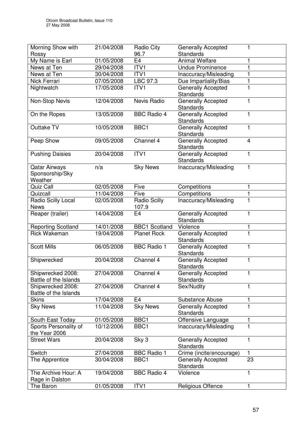| Morning Show with                                  | 21/04/2008 | Radio City                   | Generally Accepted                            |    |
|----------------------------------------------------|------------|------------------------------|-----------------------------------------------|----|
| Rossy                                              |            | 96.7                         | <b>Standards</b>                              |    |
| My Name is Earl                                    | 01/05/2008 | E <sub>4</sub>               | <b>Animal Welfare</b>                         |    |
| News at Ten                                        | 29/04/2008 | ITV1                         | <b>Undue Prominence</b>                       |    |
| News at Ten                                        | 30/04/2008 | ITV1                         | Inaccuracy/Misleading                         |    |
| Nick Ferrari                                       | 07/05/2008 | LBC 97.3                     | Due Impartiality/Bias                         |    |
| Nightwatch                                         | 17/05/2008 | ITV1                         | <b>Generally Accepted</b><br><b>Standards</b> |    |
| Non-Stop Nevis                                     | 12/04/2008 | Nevis Radio                  | Generally Accepted<br>Standards               | 1  |
| On the Ropes                                       | 13/05/2008 | <b>BBC Radio 4</b>           | <b>Generally Accepted</b><br><b>Standards</b> |    |
| Outtake TV                                         | 10/05/2008 | BBC1                         | <b>Generally Accepted</b><br><b>Standards</b> |    |
| Peep Show                                          | 09/05/2008 | Channel 4                    | <b>Generally Accepted</b><br><b>Standards</b> | 4  |
| <b>Pushing Daisies</b>                             | 20/04/2008 | ITVI                         | <b>Generally Accepted</b><br><b>Standards</b> | 1  |
| <b>Qatar Airways</b><br>Sponsorship/Sky<br>Weather | n/a        | <b>Sky News</b>              | Inaccuracy/Misleading                         |    |
| Quiz Call                                          | 02/05/2008 | Five                         | Competitions                                  | 1  |
| Quizcall                                           | 11/04/2008 | Five                         | Competitions                                  |    |
| Radio Scilly Local<br><b>News</b>                  | 02/05/2008 | <b>Radio Scilly</b><br>107.9 | Inaccuracy/Misleading                         |    |
| Reaper (trailer)                                   | 14/04/2008 | E <sub>4</sub>               | Generally Accepted<br><b>Standards</b>        | 1  |
| <b>Reporting Scotland</b>                          | 14/01/2008 | <b>BBC1 Scotland</b>         | Violence                                      | 1  |
| <b>Rick Wakeman</b>                                | 19/04/2008 | <b>Planet Rock</b>           | Generally Accepted<br><b>Standards</b>        | 1  |
| <b>Scott Mills</b>                                 | 06/05/2008 | <b>BBC Radio 1</b>           | <b>Generally Accepted</b><br>Standards        | 1  |
| Shipwrecked                                        | 20/04/2008 | Channel 4                    | Generally Accepted<br><b>Standards</b>        | 1  |
| Shipwrecked 2008:<br>Battle of the Islands         | 27/04/2008 | Channel 4                    | Generally Accepted<br><b>Standards</b>        | 1. |
| Shipwrecked 2008:<br>Battle of the Islands         | 27/04/2008 | Channel 4                    | Sex/Nudity                                    |    |
| <b>Skins</b>                                       | 17/04/2008 | E4                           | <b>Substance Abuse</b>                        |    |
| <b>Sky News</b>                                    | 11/04/2008 | <b>Sky News</b>              | <b>Generally Accepted</b><br>Standards        |    |
| South East Today                                   | 01/05/2008 | BBC1                         | Offensive Language                            |    |
| Sports Personality of<br>the Year 2006             | 10/12/2006 | BBC1                         | Inaccuracy/Misleading                         |    |
| <b>Street Wars</b>                                 | 20/04/2008 | Sky 3                        | Generally Accepted<br><b>Standards</b>        |    |
| Switch                                             | 27/04/2008 | <b>BBC Radio 1</b>           | Crime (incite/encourage)                      | 1  |
| The Apprentice                                     | 30/04/2008 | BBC1                         | <b>Generally Accepted</b><br><b>Standards</b> | 23 |
| The Archive Hour: A<br>Rage in Dalston             | 19/04/2008 | <b>BBC Radio 4</b>           | Violence                                      | 1  |
| The Baron                                          | 01/05/2008 | ITV1                         | Religious Offence                             | 1  |
|                                                    |            |                              |                                               |    |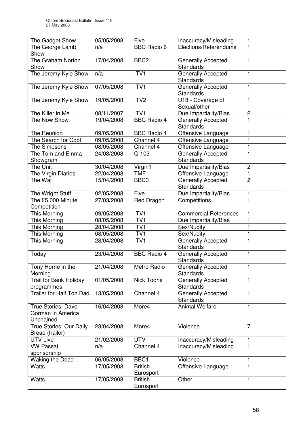| The Gadget Show                            | 05/05/2008               | Five               | Inaccuracy/Misleading                  | 1              |
|--------------------------------------------|--------------------------|--------------------|----------------------------------------|----------------|
| The George Lamb                            | n/a                      | <b>BBC Radio 6</b> | Elections/Referendums                  | 1              |
| Show                                       |                          |                    |                                        |                |
| The Graham Norton                          | 17/04/2008               | BBC <sub>2</sub>   | <b>Generally Accepted</b>              | 1              |
| Show                                       |                          |                    | <b>Standards</b>                       |                |
| The Jeremy Kyle Show                       | n/a                      | ITVI               | <b>Generally Accepted</b>              | 1              |
|                                            |                          |                    | <b>Standards</b>                       |                |
| The Jeremy Kyle Show                       | 07/05/2008               | ITV1               | <b>Generally Accepted</b><br>Standards | $\mathbf{1}$   |
| The Jeremy Kyle Show                       | 19/05/2008               | ITV <sub>2</sub>   | U18 - Coverage of                      | 1              |
|                                            |                          |                    | Sexual/other                           |                |
| The Killer in Me                           | 08/11/2007               | ITV1               | Due Impartiality/Bias                  | $\mathbf 2$    |
| The Now Show                               | 19/04/2008               | <b>BBC Radio 4</b> | <b>Generally Accepted</b>              | $\mathbf{1}$   |
|                                            |                          |                    | <b>Standards</b>                       |                |
| The Reunion                                | 09/05/2008               | <b>BBC Radio 4</b> | Offensive Language                     | 1              |
| The Search for Cool                        | 09/05/2008               | Channel 4          | Offensive Language                     | 1              |
| The Simpsons                               | 08/05/2008               | Channel 4          | Offensive Language                     | 1              |
| The Tom and Emma                           | 24/03/2008               | Q 103              | <b>Generally Accepted</b>              | 1              |
| Showgram                                   |                          |                    | Standards                              |                |
| The Unit                                   | 30/04/2008               | Virgin1            | Due Impartiality/Bias                  | $\overline{c}$ |
| The Virgin Diaries                         | 22/04/2008               | <b>TMF</b>         | Offensive Language                     | 1              |
| The Wall                                   | 15/04/2008               | BBC <sub>3</sub>   | <b>Generally Accepted</b>              | $\overline{2}$ |
|                                            |                          |                    | <b>Standards</b>                       |                |
| The Wright Stuff                           | 02/05/2008               | Five               | Due Impartiality/Bias                  | 1              |
| The £5,000 Minute                          | 27/03/2008               | Red Dragon         | Competitions                           | $\mathbf{1}$   |
| Competition                                |                          |                    |                                        |                |
| This Morning                               | 09/05/2008               | ITV1<br>ITV1       | Commercial References                  | 1              |
| This Morning<br>This Morning               | 08/05/2008<br>28/04/2008 | ITV1               | Due Impartiality/Bias<br>Sex/Nudity    | 1<br>1         |
| This Morning                               | 08/05/2008               | ITV1               | Sex/Nudity                             | $\mathbf{1}$   |
| This Morning                               | 28/04/2008               | ITV1               | Generally Accepted                     | 1              |
|                                            |                          |                    | Standards                              |                |
| Today                                      | 23/04/2008               | <b>BBC Radio 4</b> | Generally Accepted                     | 1              |
|                                            |                          |                    | Standards                              |                |
| Tony Horne in the                          | 21/04/2008               | Metro Radio        | Generally Accepted                     | $\mathbf{1}$   |
| Morning                                    |                          |                    | <b>Standards</b>                       |                |
| <b>Trail for Bank Holiday</b>              | 01/05/2008               | <b>Nick Toons</b>  | <b>Generally Accepted</b>              | 1              |
| programmes                                 |                          |                    | <b>Standards</b>                       |                |
| <b>Trailer for Half Ton Dad</b>            | 13/05/2008               | Channel 4          | Generally Accepted                     | 1              |
|                                            |                          |                    | Standards                              |                |
| <b>True Stories: Dave</b>                  | 16/04/2008               | More4              | <b>Animal Welfare</b>                  | 1              |
| Gorman in America                          |                          |                    |                                        |                |
| Unchained                                  |                          | More4              | Violence                               | 7              |
| True Stories: Our Daily<br>Bread (trailer) | 23/04/2008               |                    |                                        |                |
| <b>UTV Live</b>                            | 21/02/2008               | <b>UTV</b>         | Inaccuracy/Misleading                  | 1              |
| <b>VW Passat</b>                           | n/a                      | Channel 4          | Inaccuracy/Misleading                  | 1              |
| sponsorship                                |                          |                    |                                        |                |
| Waking the Dead                            | 06/05/2008               | BBC1               | Violence                               | 1              |
| <b>Watts</b>                               | 17/05/2008               | <b>British</b>     | Offensive Language                     | 1              |
|                                            |                          | Eurosport          |                                        |                |
| <b>Watts</b>                               | 17/05/2008               | <b>British</b>     | Other                                  | 1              |
|                                            |                          | Eurosport          |                                        |                |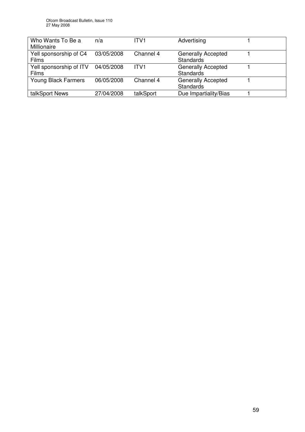| Who Wants To Be a<br>Millionaire       | n/a        | ITV1             | Advertising                                   |  |
|----------------------------------------|------------|------------------|-----------------------------------------------|--|
| Yell sponsorship of C4<br><b>Films</b> | 03/05/2008 | Channel 4        | <b>Generally Accepted</b><br><b>Standards</b> |  |
| Yell sponsorship of ITV<br>Films       | 04/05/2008 | ITV <sub>1</sub> | <b>Generally Accepted</b><br><b>Standards</b> |  |
| <b>Young Black Farmers</b>             | 06/05/2008 | Channel 4        | <b>Generally Accepted</b><br>Standards        |  |
| talkSport News                         | 27/04/2008 | talkSport        | Due Impartiality/Bias                         |  |